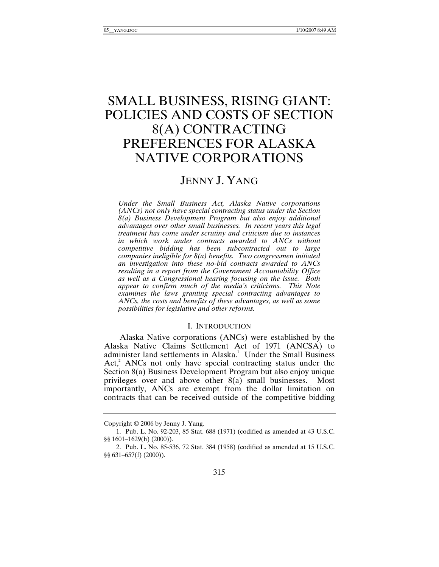# SMALL BUSINESS, RISING GIANT: POLICIES AND COSTS OF SECTION 8(A) CONTRACTING PREFERENCES FOR ALASKA NATIVE CORPORATIONS

# JENNY J. YANG

*Under the Small Business Act, Alaska Native corporations (ANCs) not only have special contracting status under the Section 8(a) Business Development Program but also enjoy additional advantages over other small businesses. In recent years this legal treatment has come under scrutiny and criticism due to instances in which work under contracts awarded to ANCs without competitive bidding has been subcontracted out to large companies ineligible for 8(a) benefits. Two congressmen initiated an investigation into these no-bid contracts awarded to ANCs resulting in a report from the Government Accountability Office as well as a Congressional hearing focusing on the issue. Both appear to confirm much of the media's criticisms. This Note examines the laws granting special contracting advantages to ANCs, the costs and benefits of these advantages, as well as some possibilities for legislative and other reforms.* 

# I. INTRODUCTION

Alaska Native corporations (ANCs) were established by the Alaska Native Claims Settlement Act of 1971 (ANCSA) to administer land settlements in Alaska.<sup>1</sup> Under the Small Business  $Act<sub>i</sub><sup>2</sup> ANCs$  not only have special contracting status under the Section 8(a) Business Development Program but also enjoy unique privileges over and above other 8(a) small businesses. Most importantly, ANCs are exempt from the dollar limitation on contracts that can be received outside of the competitive bidding

Copyright © 2006 by Jenny J. Yang.

 <sup>1.</sup> Pub. L. No. 92-203, 85 Stat. 688 (1971) (codified as amended at 43 U.S.C. §§ 1601–1629(h) (2000)).

 <sup>2.</sup> Pub. L. No. 85-536, 72 Stat. 384 (1958) (codified as amended at 15 U.S.C. §§ 631–657(f) (2000)).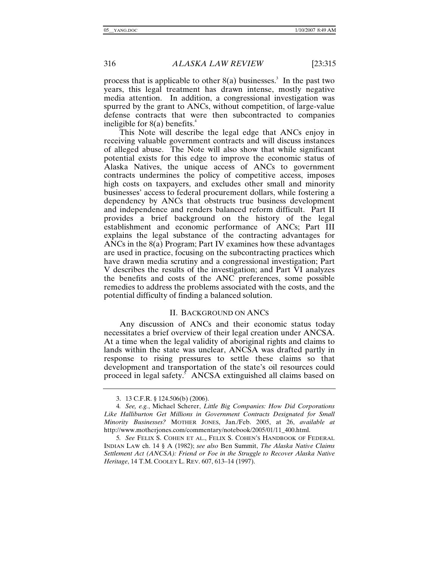process that is applicable to other  $8(a)$  businesses.<sup>3</sup> In the past two years, this legal treatment has drawn intense, mostly negative media attention. In addition, a congressional investigation was spurred by the grant to ANCs, without competition, of large-value defense contracts that were then subcontracted to companies ineligible for  $8(a)$  benefits.<sup>4</sup>

This Note will describe the legal edge that ANCs enjoy in receiving valuable government contracts and will discuss instances of alleged abuse. The Note will also show that while significant potential exists for this edge to improve the economic status of Alaska Natives, the unique access of ANCs to government contracts undermines the policy of competitive access, imposes high costs on taxpayers, and excludes other small and minority businesses' access to federal procurement dollars, while fostering a dependency by ANCs that obstructs true business development and independence and renders balanced reform difficult. Part II provides a brief background on the history of the legal establishment and economic performance of ANCs; Part III explains the legal substance of the contracting advantages for ANCs in the 8(a) Program; Part IV examines how these advantages are used in practice, focusing on the subcontracting practices which have drawn media scrutiny and a congressional investigation; Part V describes the results of the investigation; and Part VI analyzes the benefits and costs of the ANC preferences, some possible remedies to address the problems associated with the costs, and the potential difficulty of finding a balanced solution.

#### II. BACKGROUND ON ANCS

Any discussion of ANCs and their economic status today necessitates a brief overview of their legal creation under ANCSA. At a time when the legal validity of aboriginal rights and claims to lands within the state was unclear, ANCSA was drafted partly in response to rising pressures to settle these claims so that development and transportation of the state's oil resources could proceed in legal safety.<sup>5</sup> ANCSA extinguished all claims based on

 <sup>3. 13</sup> C.F.R. § 124.506(b) (2006).

<sup>4</sup>*. See, e.g.*, Michael Scherer, *Little Big Companies: How Did Corporations Like Halliburton Get Millions in Government Contracts Designated for Small Minority Businesses?* MOTHER JONES, Jan./Feb. 2005, at 26, *available at* http://www.motherjones.com/commentary/notebook/2005/01/11\_400.html.

<sup>5</sup>*. See* FELIX S. COHEN ET AL., FELIX S. COHEN'S HANDBOOK OF FEDERAL INDIAN LAW ch. 14 § A (1982); *see also* Ben Summit, *The Alaska Native Claims Settlement Act (ANCSA): Friend or Foe in the Struggle to Recover Alaska Native Heritage*, 14 T.M. COOLEY L. REV. 607, 613–14 (1997).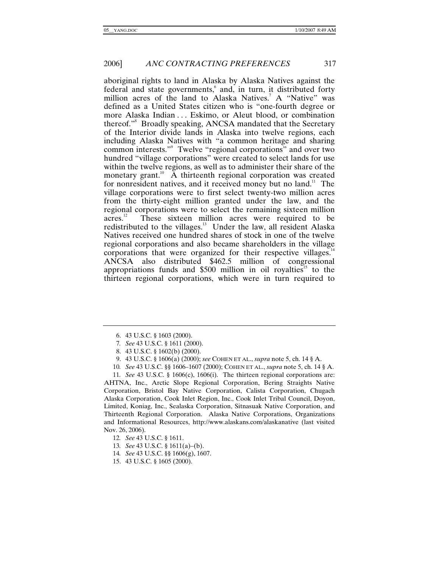aboriginal rights to land in Alaska by Alaska Natives against the federal and state governments,<sup>6</sup> and, in turn, it distributed forty million acres of the land to Alaska Natives.<sup>7</sup> A "Native" was defined as a United States citizen who is "one-fourth degree or more Alaska Indian . . . Eskimo, or Aleut blood, or combination thereof."<sup>8</sup> Broadly speaking, ANCSA mandated that the Secretary of the Interior divide lands in Alaska into twelve regions, each including Alaska Natives with "a common heritage and sharing common interests."<sup>9</sup> Twelve "regional corporations" and over two hundred "village corporations" were created to select lands for use within the twelve regions, as well as to administer their share of the monetary grant.<sup>10</sup> A thirteenth regional corporation was created for nonresident natives, and it received money but no land.<sup>11</sup> The village corporations were to first select twenty-two million acres from the thirty-eight million granted under the law, and the regional corporations were to select the remaining sixteen million acres.<sup>12</sup> These sixteen million acres were required to be These sixteen million acres were required to be redistributed to the villages.<sup>13</sup> Under the law, all resident Alaska Natives received one hundred shares of stock in one of the twelve regional corporations and also became shareholders in the village corporations that were organized for their respective villages. $14$ ANCSA also distributed \$462.5 million of congressional appropriations funds and  $$500$  million in oil royalties<sup>15</sup> to the thirteen regional corporations, which were in turn required to

10*. See* 43 U.S.C. §§ 1606–1607 (2000); COHEN ET AL., *supra* note 5, ch. 14 § A.

11*. See* 43 U.S.C. § 1606(c), 1606(i). The thirteen regional corporations are: AHTNA, Inc., Arctic Slope Regional Corporation, Bering Straights Native Corporation, Bristol Bay Native Corporation, Calista Corporation, Chugach Alaska Corporation, Cook Inlet Region, Inc., Cook Inlet Tribal Council, Doyon, Limited, Koniag, Inc., Sealaska Corporation, Sitnasuak Native Corporation, and Thirteenth Regional Corporation. Alaska Native Corporations, Organizations and Informational Resources, http://www.alaskans.com/alaskanative (last visited Nov. 26, 2006).

 <sup>6. 43</sup> U.S.C. § 1603 (2000).

<sup>7</sup>*. See* 43 U.S.C. § 1611 (2000).

 <sup>8. 43</sup> U.S.C. § 1602(b) (2000).

 <sup>9. 43</sup> U.S.C. § 1606(a) (2000); *see* COHEN ET AL., *supra* note 5, ch. 14 § A.

<sup>12</sup>*. See* 43 U.S.C. § 1611.

<sup>13</sup>*. See* 43 U.S.C. § 1611(a)–(b).

<sup>14</sup>*. See* 43 U.S.C. §§ 1606(g), 1607.

 <sup>15. 43</sup> U.S.C. § 1605 (2000).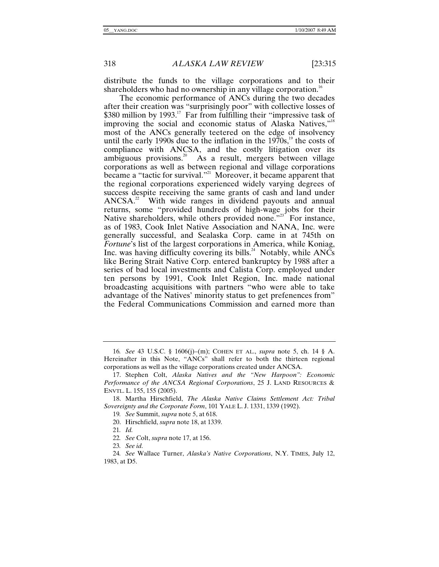distribute the funds to the village corporations and to their shareholders who had no ownership in any village corporation.<sup>16</sup>

The economic performance of ANCs during the two decades after their creation was "surprisingly poor" with collective losses of \$380 million by  $1993$ .<sup>17</sup> Far from fulfilling their "impressive task of improving the social and economic status of Alaska Natives,"<sup>18</sup> most of the ANCs generally teetered on the edge of insolvency until the early 1990s due to the inflation in the  $1970s$ ,<sup>19</sup> the costs of compliance with ANCSA, and the costly litigation over its ambiguous provisions.<sup>20</sup> As a result, mergers between village corporations as well as between regional and village corporations became a "tactic for survival."<sup>21</sup> Moreover, it became apparent that the regional corporations experienced widely varying degrees of success despite receiving the same grants of cash and land under  $ANCSA<sup>22</sup>$  With wide ranges in dividend payouts and annual returns, some "provided hundreds of high-wage jobs for their Native shareholders, while others provided none."<sup>23</sup> For instance. as of 1983, Cook Inlet Native Association and NANA, Inc. were generally successful, and Sealaska Corp. came in at 745th on *Fortune*'s list of the largest corporations in America, while Koniag, Inc. was having difficulty covering its bills.<sup>24</sup> Notably, while  $AN\overline{Cs}$ like Bering Strait Native Corp. entered bankruptcy by 1988 after a series of bad local investments and Calista Corp. employed under ten persons by 1991, Cook Inlet Region, Inc. made national broadcasting acquisitions with partners "who were able to take advantage of the Natives' minority status to get prefenences from" the Federal Communications Commission and earned more than

23*. See id.*

<sup>16</sup>*. See* 43 U.S.C. § 1606(j)–(m); COHEN ET AL., *supra* note 5, ch. 14 § A. Hereinafter in this Note, "ANCs" shall refer to both the thirteen regional corporations as well as the village corporations created under ANCSA.

 <sup>17.</sup> Stephen Colt, *Alaska Natives and the "New Harpoon": Economic Performance of the ANCSA Regional Corporations*, 25 J. LAND RESOURCES & ENVTL. L. 155, 155 (2005).

 <sup>18.</sup> Martha Hirschfield, *The Alaska Native Claims Settlement Act: Tribal Sovereignty and the Corporate Form*, 101 YALE L. J. 1331, 1339 (1992).

<sup>19</sup>*. See* Summit, *supra* note 5, at 618.

 <sup>20.</sup> Hirschfield, *supra* note 18, at 1339.

<sup>21</sup>*. Id.*

<sup>22</sup>*. See* Colt, *supra* note 17, at 156.

<sup>24</sup>*. See* Wallace Turner, *Alaska's Native Corporations*, N.Y. TIMES, July 12, 1983, at D5.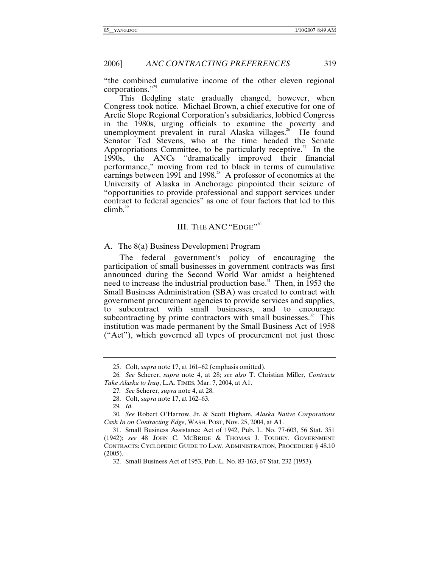"the combined cumulative income of the other eleven regional corporations."<sup>25</sup>

This fledgling state gradually changed, however, when Congress took notice. Michael Brown, a chief executive for one of Arctic Slope Regional Corporation's subsidiaries, lobbied Congress in the 1980s, urging officials to examine the poverty and unemployment prevalent in rural Alaska villages.<sup>26</sup> He found Senator Ted Stevens, who at the time headed the Senate Appropriations Committee, to be particularly receptive.<sup>27</sup> In the 1990s, the ANCs "dramatically improved their financial performance," moving from red to black in terms of cumulative earnings between 1991 and 1998.<sup>28</sup> A professor of economics at the University of Alaska in Anchorage pinpointed their seizure of "opportunities to provide professional and support services under contract to federal agencies" as one of four factors that led to this climb. $^{29}$ 

# III. THE ANC "EDGE"<sup>30</sup>

A. The 8(a) Business Development Program

The federal government's policy of encouraging the participation of small businesses in government contracts was first announced during the Second World War amidst a heightened need to increase the industrial production base.<sup>31</sup> Then, in 1953 the Small Business Administration (SBA) was created to contract with government procurement agencies to provide services and supplies, to subcontract with small businesses, and to encourage subcontracting by prime contractors with small businesses. $32$  This institution was made permanent by the Small Business Act of 1958 ("Act"), which governed all types of procurement not just those

 <sup>25.</sup> Colt, *supra* note 17, at 161–62 (emphasis omitted).

<sup>26</sup>*. See* Scherer, *supra* note 4, at 28; *see also* T. Christian Miller, *Contracts Take Alaska to Iraq*, L.A. TIMES, Mar. 7, 2004, at A1.

<sup>27</sup>*. See* Scherer, *supra* note 4, at 28.

 <sup>28.</sup> Colt, *supra* note 17, at 162–63.

<sup>29</sup>*. Id.*

<sup>30</sup>*. See* Robert O'Harrow, Jr. & Scott Higham, *Alaska Native Corporations Cash In on Contracting Edge*, WASH. POST, Nov. 25, 2004, at A1.

 <sup>31.</sup> Small Business Assistance Act of 1942, Pub. L. No. 77-603, 56 Stat. 351 (1942); *see* 48 JOHN C. MCBRIDE & THOMAS J. TOUHEY, GOVERNMENT CONTRACTS: CYCLOPEDIC GUIDE TO LAW, ADMINISTRATION, PROCEDURE § 48.10 (2005).

 <sup>32.</sup> Small Business Act of 1953, Pub. L. No. 83-163, 67 Stat. 232 (1953).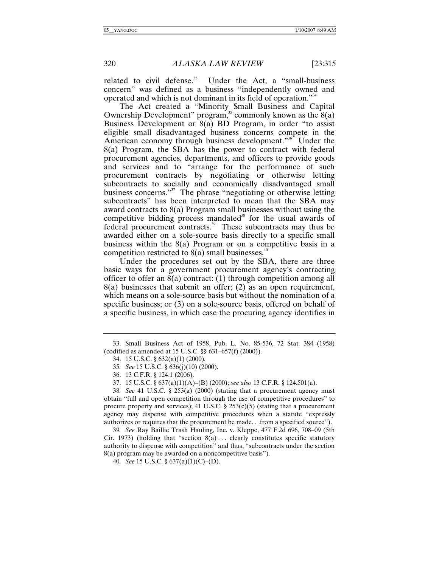related to civil defense. $33$  Under the Act, a "small-business" concern" was defined as a business "independently owned and operated and which is not dominant in its field of operation."34

The Act created a "Minority Small Business and Capital Ownership Development" program,<sup>35</sup> commonly known as the  $8(a)$ Business Development or 8(a) BD Program, in order "to assist eligible small disadvantaged business concerns compete in the American economy through business development."<sup>36</sup> Under the 8(a) Program, the SBA has the power to contract with federal procurement agencies, departments, and officers to provide goods and services and to "arrange for the performance of such procurement contracts by negotiating or otherwise letting subcontracts to socially and economically disadvantaged small business concerns."<sup>37</sup> The phrase "negotiating or otherwise letting subcontracts" has been interpreted to mean that the SBA may award contracts to 8(a) Program small businesses without using the competitive bidding process mandated $38$  for the usual awards of federal procurement contracts.<sup>39</sup> These subcontracts may thus be awarded either on a sole-source basis directly to a specific small business within the 8(a) Program or on a competitive basis in a competition restricted to  $8(a)$  small businesses.<sup>40</sup>

Under the procedures set out by the SBA, there are three basic ways for a government procurement agency's contracting officer to offer an 8(a) contract: (1) through competition among all 8(a) businesses that submit an offer; (2) as an open requirement, which means on a sole-source basis but without the nomination of a specific business; or (3) on a sole-source basis, offered on behalf of a specific business, in which case the procuring agency identifies in

38*. See* 41 U.S.C. § 253(a) (2000) (stating that a procurement agency must obtain "full and open competition through the use of competitive procedures" to procure property and services); 41 U.S.C.  $\S 253(c)(5)$  (stating that a procurement agency may dispense with competitive procedures when a statute "expressly authorizes or requires that the procurement be made. . .from a specified source").

39*. See* Ray Baillie Trash Hauling, Inc. v. Kleppe, 477 F.2d 696, 708–09 (5th Cir. 1973) (holding that "section  $8(a) \ldots$  clearly constitutes specific statutory authority to dispense with competition" and thus, "subcontracts under the section 8(a) program may be awarded on a noncompetitive basis").

40*. See* 15 U.S.C. § 637(a)(1)(C)–(D).

 <sup>33.</sup> Small Business Act of 1958, Pub. L. No. 85-536, 72 Stat. 384 (1958) (codified as amended at 15 U.S.C. §§ 631–657(f) (2000)).

 <sup>34. 15</sup> U.S.C. § 632(a)(1) (2000).

<sup>35</sup>*. See* 15 U.S.C. § 636(j)(10) (2000).

 <sup>36. 13</sup> C.F.R. § 124.1 (2006).

 <sup>37. 15</sup> U.S.C. § 637(a)(1)(A)–(B) (2000); *see also* 13 C.F.R. § 124.501(a).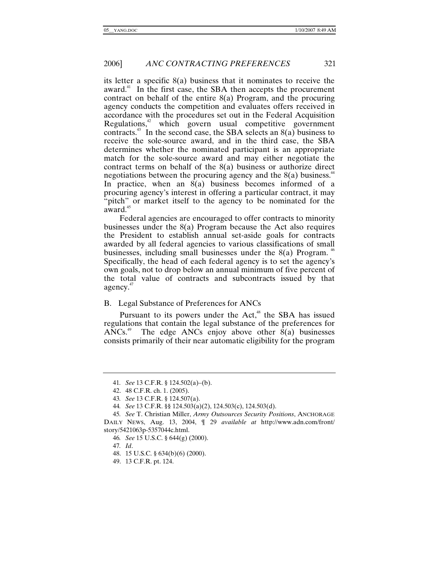its letter a specific 8(a) business that it nominates to receive the award.<sup>41</sup> In the first case, the SBA then accepts the procurement contract on behalf of the entire 8(a) Program, and the procuring agency conducts the competition and evaluates offers received in accordance with the procedures set out in the Federal Acquisition Regulations, $42$  which govern usual competitive government contracts.<sup>43</sup> In the second case, the SBA selects an  $8(a)$  business to receive the sole-source award, and in the third case, the SBA determines whether the nominated participant is an appropriate match for the sole-source award and may either negotiate the contract terms on behalf of the 8(a) business or authorize direct negotiations between the procuring agency and the  $8(a)$  business.<sup>44</sup> In practice, when an 8(a) business becomes informed of a procuring agency's interest in offering a particular contract, it may "pitch" or market itself to the agency to be nominated for the  $award.<sup>45</sup>$ 

Federal agencies are encouraged to offer contracts to minority businesses under the 8(a) Program because the Act also requires the President to establish annual set-aside goals for contracts awarded by all federal agencies to various classifications of small businesses, including small businesses under the  $8(a)$  Program. <sup>46</sup> Specifically, the head of each federal agency is to set the agency's own goals, not to drop below an annual minimum of five percent of the total value of contracts and subcontracts issued by that agency.<sup>47</sup>

# B. Legal Substance of Preferences for ANCs

Pursuant to its powers under the  $Act<sub>1</sub><sup>48</sup>$  the SBA has issued regulations that contain the legal substance of the preferences for ANCs.<sup>49</sup> The edge ANCs enjoy above other  $8(a)$  businesses consists primarily of their near automatic eligibility for the program

<sup>41</sup>*. See* 13 C.F.R. § 124.502(a)–(b).

 <sup>42. 48</sup> C.F.R. ch. 1. (2005).

<sup>43</sup>*. See* 13 C.F.R. § 124.507(a).

<sup>44</sup>*. See* 13 C.F.R. §§ 124.503(a)(2), 124.503(c), 124.503(d).

<sup>45</sup>*. See* T. Christian Miller, *Army Outsources Security Positions*, ANCHORAGE DAILY NEWS, Aug. 13, 2004, ¶ 29 *available at* http://www.adn.com/front/ story/5421063p-5357044c.html.

<sup>46</sup>*. See* 15 U.S.C. § 644(g) (2000).

<sup>47</sup>*. Id*.

 <sup>48. 15</sup> U.S.C. § 634(b)(6) (2000).

 <sup>49. 13</sup> C.F.R. pt. 124.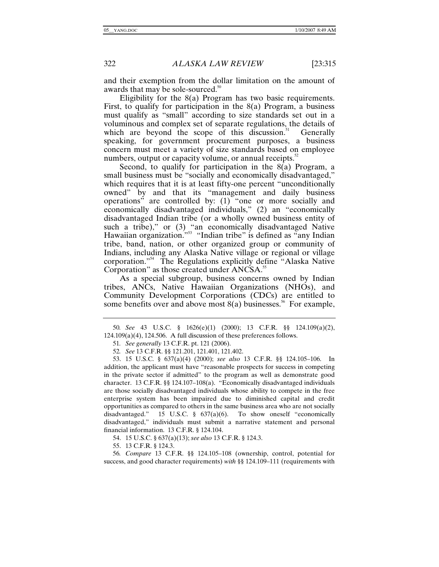and their exemption from the dollar limitation on the amount of awards that may be sole-sourced.<sup>50</sup>

Eligibility for the 8(a) Program has two basic requirements. First, to qualify for participation in the  $8(a)$  Program, a business must qualify as "small" according to size standards set out in a voluminous and complex set of separate regulations, the details of which are beyond the scope of this discussion.<sup>51</sup> Generally which are beyond the scope of this discussion. $51$ speaking, for government procurement purposes, a business concern must meet a variety of size standards based on employee numbers, output or capacity volume, or annual receipts. $52$ 

Second, to qualify for participation in the 8(a) Program, a small business must be "socially and economically disadvantaged," which requires that it is at least fifty-one percent "unconditionally" owned" by and that its "management and daily business operations" are controlled by: (1) "one or more socially and economically disadvantaged individuals," (2) an "economically disadvantaged Indian tribe (or a wholly owned business entity of such a tribe)," or (3) "an economically disadvantaged Native Hawaiian organization.<sup>"53</sup> "Indian tribe" is defined as "any Indian tribe, band, nation, or other organized group or community of Indians, including any Alaska Native village or regional or village corporation."54 The Regulations explicitly define "Alaska Native Corporation" as those created under ANCSA.<sup>55</sup>

As a special subgroup, business concerns owned by Indian tribes, ANCs, Native Hawaiian Organizations (NHOs), and Community Development Corporations (CDCs) are entitled to some benefits over and above most  $8(a)$  businesses.<sup>56</sup> For example,

54. 15 U.S.C. § 637(a)(13); *see also* 13 C.F.R. § 124.3.

55. 13 C.F.R. § 124.3.

56*. Compare* 13 C.F.R. §§ 124.105–108 (ownership, control, potential for success, and good character requirements) *with* §§ 124.109–111 (requirements with

<sup>50</sup>*. See* 43 U.S.C. § 1626(e)(1) (2000); 13 C.F.R. §§ 124.109(a)(2),  $124.109(a)(4)$ ,  $124.506$ . A full discussion of these preferences follows.

<sup>51</sup>*. See generally* 13 C.F.R. pt. 121 (2006).

<sup>52</sup>*. See* 13 C.F.R. §§ 121.201, 121.401, 121.402.

 <sup>53. 15</sup> U.S.C. § 637(a)(4) (2000); *see also* 13 C.F.R. §§ 124.105–106. In addition, the applicant must have "reasonable prospects for success in competing in the private sector if admitted" to the program as well as demonstrate good character. 13 C.F.R. §§ 124.107–108(a). "Economically disadvantaged individuals are those socially disadvantaged individuals whose ability to compete in the free enterprise system has been impaired due to diminished capital and credit opportunities as compared to others in the same business area who are not socially disadvantaged." 15 U.S.C. § 637(a)(6). To show oneself "economically disadvantaged," individuals must submit a narrative statement and personal financial information. 13 C.F.R. § 124.104.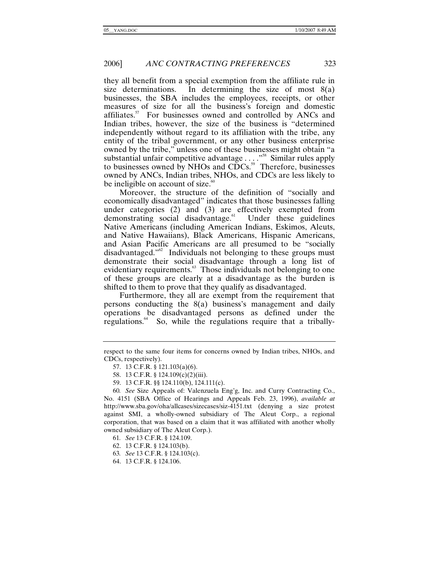they all benefit from a special exemption from the affiliate rule in size determinations. In determining the size of most  $8(a)$ businesses, the SBA includes the employees, receipts, or other measures of size for all the business's foreign and domestic affiliates.<sup>57</sup> For businesses owned and controlled by ANCs and Indian tribes, however, the size of the business is "determined independently without regard to its affiliation with the tribe, any entity of the tribal government, or any other business enterprise owned by the tribe," unless one of these businesses might obtain "a substantial unfair competitive advantage . . . . "<sup>58</sup> Similar rules apply to businesses owned by NHOs and  $\overrightarrow{CDCs}$ .<sup>59</sup> Therefore, businesses owned by ANCs, Indian tribes, NHOs, and CDCs are less likely to be ineligible on account of size. $60$ 

Moreover, the structure of the definition of "socially and economically disadvantaged" indicates that those businesses falling under categories (2) and (3) are effectively exempted from demonstrating social disadvantage. Under these guidelines demonstrating social disadvantage. $61$ Native Americans (including American Indians, Eskimos, Aleuts, and Native Hawaiians), Black Americans, Hispanic Americans, and Asian Pacific Americans are all presumed to be "socially disadvantaged."<sup>62</sup> Individuals not belonging to these groups must demonstrate their social disadvantage through a long list of evidentiary requirements.<sup>63</sup> Those individuals not belonging to one of these groups are clearly at a disadvantage as the burden is shifted to them to prove that they qualify as disadvantaged.

Furthermore, they all are exempt from the requirement that persons conducting the 8(a) business's management and daily operations be disadvantaged persons as defined under the regulations.<sup>64</sup> So, while the regulations require that a tribally-

- 61*. See* 13 C.F.R. § 124.109.
- 62. 13 C.F.R. § 124.103(b).
- 63*. See* 13 C.F.R. § 124.103(c).
- 64. 13 C.F.R. § 124.106.

respect to the same four items for concerns owned by Indian tribes, NHOs, and CDCs, respectively).

 <sup>57. 13</sup> C.F.R. § 121.103(a)(6).

 <sup>58. 13</sup> C.F.R. § 124.109(c)(2)(iii).

 <sup>59. 13</sup> C.F.R. §§ 124.110(b), 124.111(c).

<sup>60</sup>*. See* Size Appeals of: Valenzuela Eng'g, Inc. and Curry Contracting Co., No. 4151 (SBA Office of Hearings and Appeals Feb. 23, 1996), *available at* http://www.sba.gov/oha/allcases/sizecases/siz-4151.txt (denying a size protest against SMI, a wholly-owned subsidiary of The Aleut Corp., a regional corporation, that was based on a claim that it was affiliated with another wholly owned subsidiary of The Aleut Corp.).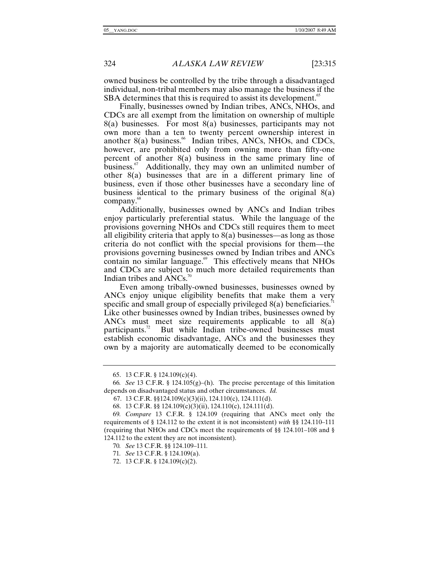owned business be controlled by the tribe through a disadvantaged individual, non-tribal members may also manage the business if the SBA determines that this is required to assist its development.<sup>65</sup>

Finally, businesses owned by Indian tribes, ANCs, NHOs, and CDCs are all exempt from the limitation on ownership of multiple  $8(a)$  businesses. For most  $8(a)$  businesses, participants may not own more than a ten to twenty percent ownership interest in another  $8(a)$  business.<sup>66</sup> Indian tribes, ANCs, NHOs, and CDCs, however, are prohibited only from owning more than fifty-one percent of another 8(a) business in the same primary line of business. $67$  Additionally, they may own an unlimited number of other 8(a) businesses that are in a different primary line of business, even if those other businesses have a secondary line of business identical to the primary business of the original 8(a) company.<sup>68</sup>

Additionally, businesses owned by ANCs and Indian tribes enjoy particularly preferential status. While the language of the provisions governing NHOs and CDCs still requires them to meet all eligibility criteria that apply to  $8(a)$  businesses—as long as those criteria do not conflict with the special provisions for them—the provisions governing businesses owned by Indian tribes and ANCs contain no similar language. $\frac{69}{5}$  This effectively means that NHOs and CDCs are subject to much more detailed requirements than Indian tribes and  $\triangle NCS$ .<sup>70</sup>

Even among tribally-owned businesses, businesses owned by ANCs enjoy unique eligibility benefits that make them a very specific and small group of especially privileged  $8(a)$  beneficiaries.<sup>71</sup> Like other businesses owned by Indian tribes, businesses owned by ANCs must meet size requirements applicable to all 8(a) participants.<sup>72</sup> But while Indian tribe-owned businesses must establish economic disadvantage, ANCs and the businesses they own by a majority are automatically deemed to be economically

 <sup>65. 13</sup> C.F.R. § 124.109(c)(4).

<sup>66</sup>*. See* 13 C.F.R. § 124.105(g)–(h). The precise percentage of this limitation depends on disadvantaged status and other circumstances. *Id.*

 <sup>67. 13</sup> C.F.R. §§124.109(c)(3)(ii), 124.110(c), 124.111(d).

 <sup>68. 13</sup> C.F.R. §§ 124.109(c)(3)(ii), 124.110(c), 124.111(d).

<sup>69</sup>*. Compare* 13 C.F.R. § 124.109 (requiring that ANCs meet only the requirements of § 124.112 to the extent it is not inconsistent) *with* §§ 124.110–111 (requiring that NHOs and CDCs meet the requirements of §§ 124.101–108 and § 124.112 to the extent they are not inconsistent).

<sup>70</sup>*. See* 13 C.F.R. §§ 124.109–111*.*

<sup>71</sup>*. See* 13 C.F.R. § 124.109(a).

 <sup>72. 13</sup> C.F.R. § 124.109(c)(2).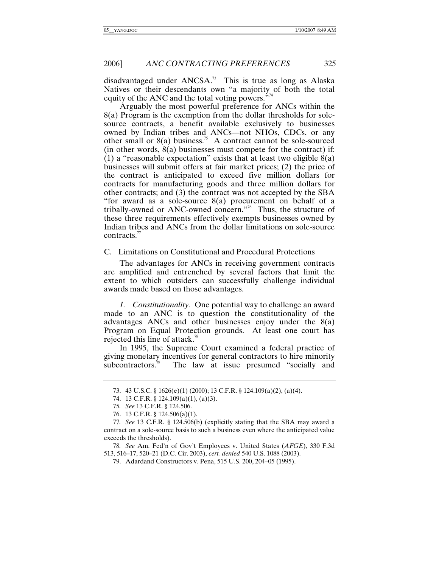disadvantaged under  $ANCSA$ <sup>3</sup>. This is true as long as Alaska Natives or their descendants own "a majority of both the total equity of the ANC and the total voting powers. $"^{74}$ 

Arguably the most powerful preference for ANCs within the 8(a) Program is the exemption from the dollar thresholds for solesource contracts, a benefit available exclusively to businesses owned by Indian tribes and ANCs—not NHOs, CDCs, or any other small or  $8(a)$  business.<sup>75</sup> A contract cannot be sole-sourced (in other words,  $8(a)$ ) businesses must compete for the contract) if: (1) a "reasonable expectation" exists that at least two eligible  $8(a)$ businesses will submit offers at fair market prices; (2) the price of the contract is anticipated to exceed five million dollars for contracts for manufacturing goods and three million dollars for other contracts; and (3) the contract was not accepted by the SBA "for award as a sole-source 8(a) procurement on behalf of a tribally-owned or ANC-owned concern."76 Thus, the structure of these three requirements effectively exempts businesses owned by Indian tribes and ANCs from the dollar limitations on sole-source contracts.<sup>77</sup>

C. Limitations on Constitutional and Procedural Protections

The advantages for ANCs in receiving government contracts are amplified and entrenched by several factors that limit the extent to which outsiders can successfully challenge individual awards made based on those advantages.

*1. Constitutionality.* One potential way to challenge an award made to an ANC is to question the constitutionality of the advantages ANCs and other businesses enjoy under the 8(a) Program on Equal Protection grounds. At least one court has rejected this line of attack.<sup>78</sup>

In 1995, the Supreme Court examined a federal practice of giving monetary incentives for general contractors to hire minority subcontractors.<sup>79</sup> The law at issue presumed "socially and

78*. See* Am. Fed'n of Gov't Employees v. United States (*AFGE*), 330 F.3d 513, 516–17, 520–21 (D.C. Cir. 2003), *cert. denied* 540 U.S. 1088 (2003).

79. Adardand Constructors v. Pena, 515 U.S. 200, 204–05 (1995).

 <sup>73. 43</sup> U.S.C. § 1626(e)(1) (2000); 13 C.F.R. § 124.109(a)(2), (a)(4).

 <sup>74. 13</sup> C.F.R. § 124.109(a)(1), (a)(3).

<sup>75</sup>*. See* 13 C.F.R. § 124.506.

 <sup>76. 13</sup> C.F.R. § 124.506(a)(1).

<sup>77</sup>*. See* 13 C.F.R. § 124.506(b) (explicitly stating that the SBA may award a contract on a sole-source basis to such a business even where the anticipated value exceeds the thresholds).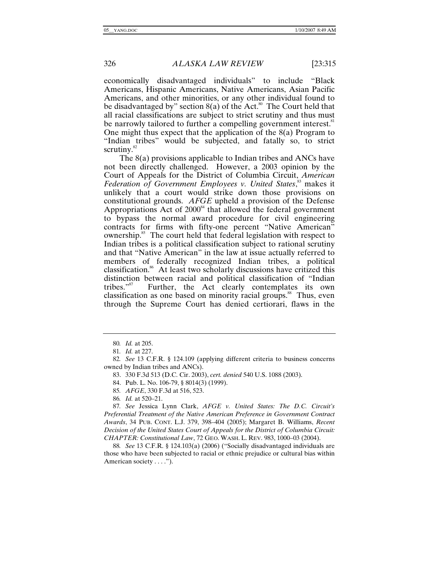economically disadvantaged individuals" to include "Black Americans, Hispanic Americans, Native Americans, Asian Pacific Americans, and other minorities, or any other individual found to be disadvantaged by" section  $8(a)$  of the Act.<sup>80</sup> The Court held that all racial classifications are subject to strict scrutiny and thus must be narrowly tailored to further a compelling government interest.<sup>81</sup> One might thus expect that the application of the 8(a) Program to "Indian tribes" would be subjected, and fatally so, to strict scrutiny. $82$ 

The 8(a) provisions applicable to Indian tribes and ANCs have not been directly challenged. However, a 2003 opinion by the Court of Appeals for the District of Columbia Circuit, *American*  Federation of Government Employees v. United States,<sup>83</sup> makes it unlikely that a court would strike down those provisions on constitutional grounds. *AFGE* upheld a provision of the Defense Appropriations Act of  $2000<sup>84</sup>$  that allowed the federal government to bypass the normal award procedure for civil engineering contracts for firms with fifty-one percent "Native American" ownership.<sup>85</sup> The court held that federal legislation with respect to Indian tribes is a political classification subject to rational scrutiny and that "Native American" in the law at issue actually referred to members of federally recognized Indian tribes, a political classification.<sup>86</sup> At least two scholarly discussions have critized this distinction between racial and political classification of "Indian tribes."<sup>87</sup> Further, the Act clearly contemplates its own Further, the Act clearly contemplates its own classification as one based on minority racial groups.<sup>88</sup> Thus, even through the Supreme Court has denied certiorari, flaws in the

83. 330 F.3d 513 (D.C. Cir. 2003), *cert. denied* 540 U.S. 1088 (2003).

84. Pub. L. No. 106-79, § 8014(3) (1999).

85*. AFGE*, 330 F.3d at 516, 523.

86*. Id.* at 520–21.

87*. See* Jessica Lynn Clark, *AFGE v. United States: The D.C. Circuit's Preferential Treatment of the Native American Preference in Government Contract Awards*, 34 PUB. CONT. L.J. 379, 398–404 (2005); Margaret B. Williams, *Recent Decision of the United States Court of Appeals for the District of Columbia Circuit: CHAPTER: Constitutional Law*, 72 GEO. WASH. L. REV. 983, 1000–03 (2004).

88*. See* 13 C.F.R. § 124.103(a) (2006) ("Socially disadvantaged individuals are those who have been subjected to racial or ethnic prejudice or cultural bias within American society . . . .").

<sup>80</sup>*. Id.* at 205.

<sup>81</sup>*. Id.* at 227.

<sup>82</sup>*. See* 13 C.F.R. § 124.109 (applying different criteria to business concerns owned by Indian tribes and ANCs).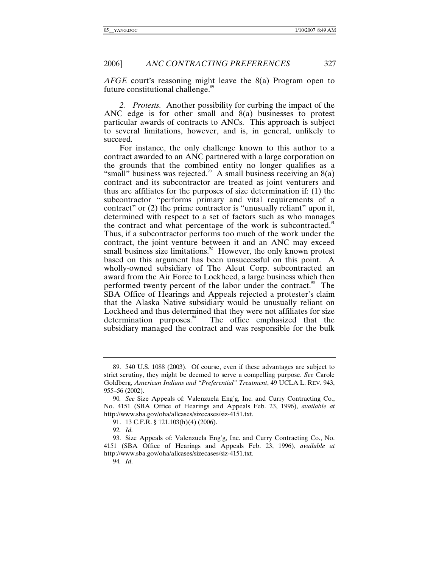2006] *ANC CONTRACTING PREFERENCES* 327

*AFGE* court's reasoning might leave the 8(a) Program open to future constitutional challenge.<sup>89</sup>

*2. Protests.* Another possibility for curbing the impact of the ANC edge is for other small and 8(a) businesses to protest particular awards of contracts to ANCs. This approach is subject to several limitations, however, and is, in general, unlikely to succeed.

For instance, the only challenge known to this author to a contract awarded to an ANC partnered with a large corporation on the grounds that the combined entity no longer qualifies as a "small" business was rejected.<sup>90</sup> A small business receiving an  $8(a)$ contract and its subcontractor are treated as joint venturers and thus are affiliates for the purposes of size determination if: (1) the subcontractor "performs primary and vital requirements of a contract" or (2) the prime contractor is "unusually reliant" upon it, determined with respect to a set of factors such as who manages the contract and what percentage of the work is subcontracted.<sup>91</sup> Thus, if a subcontractor performs too much of the work under the contract, the joint venture between it and an ANC may exceed small business size limitations.<sup>92</sup> However, the only known protest based on this argument has been unsuccessful on this point. A wholly-owned subsidiary of The Aleut Corp. subcontracted an award from the Air Force to Lockheed, a large business which then performed twenty percent of the labor under the contract.<sup>93</sup> The SBA Office of Hearings and Appeals rejected a protester's claim that the Alaska Native subsidiary would be unusually reliant on Lockheed and thus determined that they were not affiliates for size determination purposes. The office emphasized that the subsidiary managed the contract and was responsible for the bulk

94*. Id.* 

 <sup>89. 540</sup> U.S. 1088 (2003). Of course, even if these advantages are subject to strict scrutiny, they might be deemed to serve a compelling purpose. *See* Carole Goldberg, *American Indians and "Preferential" Treatment*, 49 UCLA L. REV. 943, 955–56 (2002).

<sup>90</sup>*. See* Size Appeals of: Valenzuela Eng'g, Inc. and Curry Contracting Co., No. 4151 (SBA Office of Hearings and Appeals Feb. 23, 1996), *available at* http://www.sba.gov/oha/allcases/sizecases/siz-4151.txt.

 <sup>91. 13</sup> C.F.R. § 121.103(h)(4) (2006).

<sup>92</sup>*. Id.*

 <sup>93.</sup> Size Appeals of: Valenzuela Eng'g, Inc. and Curry Contracting Co., No. 4151 (SBA Office of Hearings and Appeals Feb. 23, 1996), *available at* http://www.sba.gov/oha/allcases/sizecases/siz-4151.txt.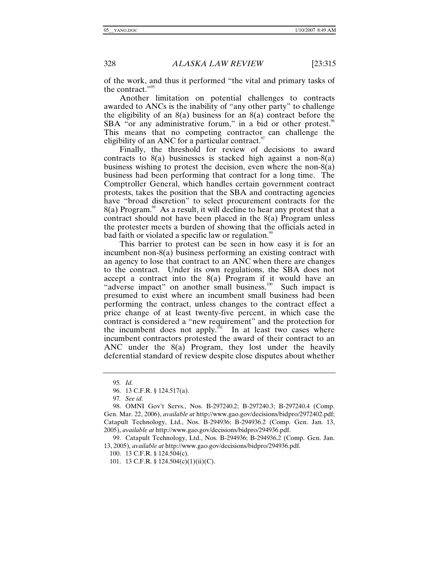of the work, and thus it performed "the vital and primary tasks of the contract."<sup>95</sup>

Another limitation on potential challenges to contracts awarded to ANCs is the inability of "any other party" to challenge the eligibility of an  $8(a)$  business for an  $8(a)$  contract before the SBA "or any administrative forum," in a bid or other protest. $96$ This means that no competing contractor can challenge the eligibility of an ANC for a particular contract.  $\frac{97}{2}$ 

Finally, the threshold for review of decisions to award contracts to  $8(a)$  businesses is stacked high against a non- $8(a)$ business wishing to protest the decision, even where the non-8(a) business had been performing that contract for a long time. The Comptroller General, which handles certain government contract protests, takes the position that the SBA and contracting agencies have "broad discretion" to select procurement contracts for the  $8(a)$  Program.<sup>98</sup> As a result, it will decline to hear any protest that a contract should not have been placed in the 8(a) Program unless the protester meets a burden of showing that the officials acted in bad faith or violated a specific law or regulation.<sup>99</sup>

This barrier to protest can be seen in how easy it is for an incumbent non-8(a) business performing an existing contract with an agency to lose that contract to an ANC when there are changes to the contract. Under its own regulations, the SBA does not accept a contract into the 8(a) Program if it would have an "adverse impact" on another small business.<sup>100</sup> Such impact is presumed to exist where an incumbent small business had been performing the contract, unless changes to the contract effect a price change of at least twenty-five percent, in which case the contract is considered a "new requirement" and the protection for the incumbent does not apply.<sup> $\phi$ 1</sup> In at least two cases where incumbent contractors protested the award of their contract to an ANC under the 8(a) Program, they lost under the heavily deferential standard of review despite close disputes about whether

97*. See id.*

 98. OMNI Gov't Servs., Nos. B-297240.2; B-297240.3; B-297240.4 (Comp. Gen. Mar. 22, 2006), *available at* http://www.gao.gov/decisions/bidpro/2972402.pdf; Catapult Technology, Ltd., Nos. B-294936; B-294936.2 (Comp. Gen. Jan. 13, 2005), *available at* http://www.gao.gov/decisions/bidpro/294936.pdf.

 99. Catapult Technology, Ltd., Nos. B-294936; B-294936.2 (Comp. Gen. Jan. 13, 2005), *available at* http://www.gao.gov/decisions/bidpro/294936.pdf.

100. 13 C.F.R. § 124.504(c).

101. 13 C.F.R. § 124.504(c)(1)(ii)(C).

<sup>95</sup>*. Id.*

 <sup>96. 13</sup> C.F.R. § 124.517(a).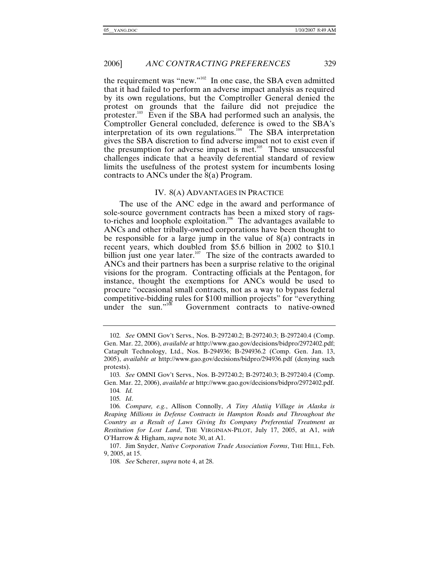the requirement was "new."102 In one case, the SBA even admitted that it had failed to perform an adverse impact analysis as required by its own regulations, but the Comptroller General denied the protest on grounds that the failure did not prejudice the protester. $103$  Even if the SBA had performed such an analysis, the Comptroller General concluded, deference is owed to the SBA's interpretation of its own regulations.104 The SBA interpretation gives the SBA discretion to find adverse impact not to exist even if the presumption for adverse impact is met.105 These unsuccessful challenges indicate that a heavily deferential standard of review limits the usefulness of the protest system for incumbents losing contracts to ANCs under the 8(a) Program.

#### IV. 8(A) ADVANTAGES IN PRACTICE

The use of the ANC edge in the award and performance of sole-source government contracts has been a mixed story of ragsto-riches and loophole exploitation.<sup>106</sup> The advantages available to ANCs and other tribally-owned corporations have been thought to be responsible for a large jump in the value of  $8(a)$  contracts in recent years, which doubled from \$5.6 billion in 2002 to \$10.1 billion just one year later.<sup>107</sup> The size of the contracts awarded to ANCs and their partners has been a surprise relative to the original visions for the program. Contracting officials at the Pentagon, for instance, thought the exemptions for ANCs would be used to procure "occasional small contracts, not as a way to bypass federal competitive-bidding rules for \$100 million projects" for "everything under the sun."<sup>108</sup> Government contracts to native-owned Government contracts to native-owned

O'Harrow & Higham, *supra* note 30, at A1.

<sup>102</sup>*. See* OMNI Gov't Servs., Nos. B-297240.2; B-297240.3; B-297240.4 (Comp. Gen. Mar. 22, 2006), *available at* http://www.gao.gov/decisions/bidpro/2972402.pdf; Catapult Technology, Ltd., Nos. B-294936; B-294936.2 (Comp. Gen. Jan. 13, 2005), *available at* http://www.gao.gov/decisions/bidpro/294936.pdf (denying such protests).

<sup>103</sup>*. See* OMNI Gov't Servs., Nos. B-297240.2; B-297240.3; B-297240.4 (Comp. Gen. Mar. 22, 2006), *available at* http://www.gao.gov/decisions/bidpro/2972402.pdf.

<sup>104</sup>*. Id.* 105*. Id*.

<sup>106</sup>*. Compare, e.g.*, Allison Connolly, *A Tiny Alutiiq Village in Alaska is Reaping Millions in Defense Contracts in Hampton Roads and Throughout the Country as a Result of Laws Giving Its Company Preferential Treatment as Restitution for Lost Land*, THE VIRGINIAN-PILOT, July 17, 2005, at A1, *with*

 <sup>107.</sup> Jim Snyder, *Native Corporation Trade Association Forms*, THE HILL, Feb. 9, 2005, at 15.

<sup>108</sup>*. See* Scherer, *supra* note 4, at 28.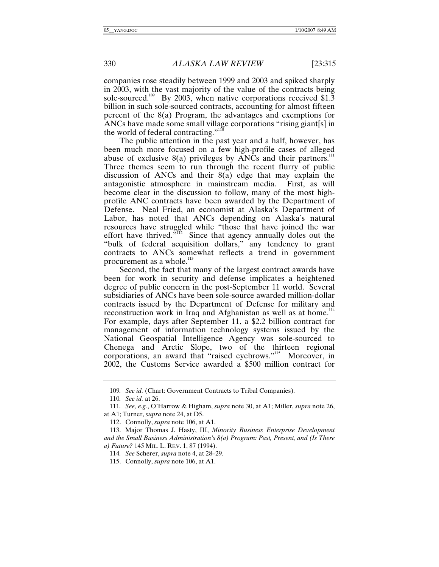companies rose steadily between 1999 and 2003 and spiked sharply in 2003, with the vast majority of the value of the contracts being sole-sourced.<sup>109</sup> By 2003, when native corporations received \$1.3 billion in such sole-sourced contracts, accounting for almost fifteen percent of the 8(a) Program, the advantages and exemptions for ANCs have made some small village corporations "rising giant[s] in the world of federal contracting." $110$ 

The public attention in the past year and a half, however, has been much more focused on a few high-profile cases of alleged abuse of exclusive  $8(a)$  privileges by ANCs and their partners.<sup>111</sup> Three themes seem to run through the recent flurry of public discussion of ANCs and their 8(a) edge that may explain the antagonistic atmosphere in mainstream media. First, as will become clear in the discussion to follow, many of the most highprofile ANC contracts have been awarded by the Department of Defense. Neal Fried, an economist at Alaska's Department of Labor, has noted that ANCs depending on Alaska's natural resources have struggled while "those that have joined the war effort have thrived.<sup> $5\text{12}$ </sup> Since that agency annually doles out the "bulk of federal acquisition dollars," any tendency to grant contracts to ANCs somewhat reflects a trend in government procurement as a whole.<sup>113</sup>

Second, the fact that many of the largest contract awards have been for work in security and defense implicates a heightened degree of public concern in the post-September 11 world. Several subsidiaries of ANCs have been sole-source awarded million-dollar contracts issued by the Department of Defense for military and reconstruction work in Iraq and Afghanistan as well as at home.<sup>114</sup> For example, days after September 11, a \$2.2 billion contract for management of information technology systems issued by the National Geospatial Intelligence Agency was sole-sourced to Chenega and Arctic Slope, two of the thirteen regional corporations, an award that "raised eyebrows."<sup>115</sup> Moreover, in 2002, the Customs Service awarded a \$500 million contract for

<sup>109</sup>*. See id.* (Chart: Government Contracts to Tribal Companies).

<sup>110</sup>*. See id.* at 26.

<sup>111</sup>*. See, e.g.*, O'Harrow & Higham, *supra* note 30, at A1; Miller, *supra* note 26, at A1; Turner, *supra* note 24, at D5.

 <sup>112.</sup> Connolly, *supra* note 106, at A1.

 <sup>113.</sup> Major Thomas J. Hasty, III, *Minority Business Enterprise Development and the Small Business Administration's 8(a) Program: Past, Present, and (Is There a) Future?* 145 MIL. L. REV. 1, 87 (1994).

<sup>114</sup>*. See* Scherer, *supra* note 4, at 28–29.

 <sup>115.</sup> Connolly, *supra* note 106, at A1.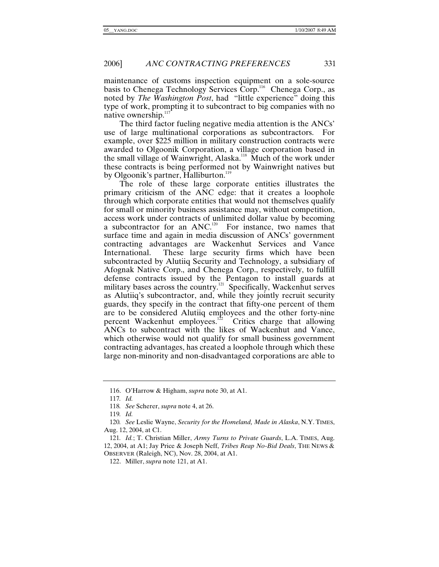maintenance of customs inspection equipment on a sole-source basis to Chenega Technology Services Corp.<sup>116</sup> Chenega Corp., as noted by *The Washington Post*, had "little experience" doing this type of work, prompting it to subcontract to big companies with no native ownership.<sup>117</sup>

The third factor fueling negative media attention is the ANCs' use of large multinational corporations as subcontractors. For example, over \$225 million in military construction contracts were awarded to Olgoonik Corporation, a village corporation based in the small village of Wainwright, Alaska.<sup>118</sup> Much of the work under these contracts is being performed not by Wainwright natives but by Olgoonik's partner, Halliburton.<sup>119</sup>

The role of these large corporate entities illustrates the primary criticism of the ANC edge: that it creates a loophole through which corporate entities that would not themselves qualify for small or minority business assistance may, without competition, access work under contracts of unlimited dollar value by becoming a subcontractor for an ANC.<sup>120</sup> For instance, two names that surface time and again in media discussion of ANCs' government contracting advantages are Wackenhut Services and Vance International. These large security firms which have been subcontracted by Alutiiq Security and Technology, a subsidiary of Afognak Native Corp., and Chenega Corp., respectively, to fulfill defense contracts issued by the Pentagon to install guards at military bases across the country.<sup>121</sup> Specifically, Wackenhut serves as Alutiiq's subcontractor, and, while they jointly recruit security guards, they specify in the contract that fifty-one percent of them are to be considered Alutiiq employees and the other forty-nine percent Wackenhut employees.<sup>122</sup> Critics charge that allowing ANCs to subcontract with the likes of Wackenhut and Vance, which otherwise would not qualify for small business government contracting advantages, has created a loophole through which these large non-minority and non-disadvantaged corporations are able to

 <sup>116.</sup> O'Harrow & Higham, *supra* note 30, at A1.

<sup>117</sup>*. Id.* 

<sup>118</sup>*. See* Scherer, *supra* note 4, at 26.

<sup>119</sup>*. Id.*

<sup>120</sup>*. See* Leslie Wayne, *Security for the Homeland, Made in Alaska*, N.Y. TIMES, Aug. 12, 2004, at C1.

<sup>121</sup>*. Id.*; T. Christian Miller, *Army Turns to Private Guards*, L.A. TIMES, Aug. 12, 2004, at A1; Jay Price & Joseph Neff, *Tribes Reap No-Bid Deals*, THE NEWS & OBSERVER (Raleigh, NC), Nov. 28, 2004, at A1.

 <sup>122.</sup> Miller, *supra* note 121, at A1.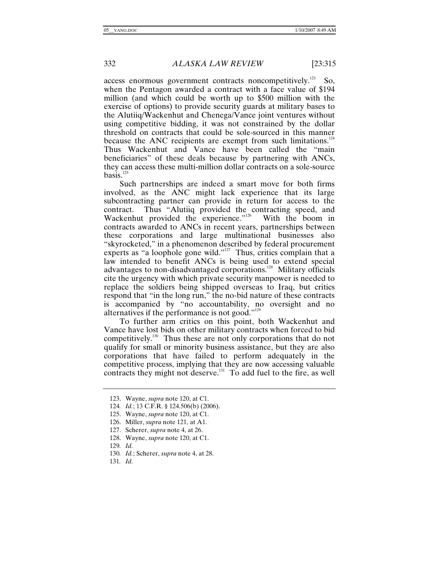access enormous government contracts noncompetitively.<sup>123</sup> So, when the Pentagon awarded a contract with a face value of \$194 million (and which could be worth up to \$500 million with the exercise of options) to provide security guards at military bases to the Alutiiq/Wackenhut and Chenega/Vance joint ventures without using competitive bidding, it was not constrained by the dollar threshold on contracts that could be sole-sourced in this manner because the ANC recipients are exempt from such limitations. $124$ Thus Wackenhut and Vance have been called the "main beneficiaries" of these deals because by partnering with ANCs, they can access these multi-million dollar contracts on a sole-source basis. $125$ 

Such partnerships are indeed a smart move for both firms involved, as the ANC might lack experience that its large subcontracting partner can provide in return for access to the contract. Thus "Alutiiq provided the contracting speed, and Wackenhut provided the experience."<sup>126</sup> With the boom in contracts awarded to ANCs in recent years, partnerships between these corporations and large multinational businesses also "skyrocketed," in a phenomenon described by federal procurement experts as "a loophole gone wild."<sup>127</sup> Thus, critics complain that a law intended to benefit ANCs is being used to extend special advantages to non-disadvantaged corporations.<sup>128</sup> Military officials cite the urgency with which private security manpower is needed to replace the soldiers being shipped overseas to Iraq, but critics respond that "in the long run," the no-bid nature of these contracts is accompanied by "no accountability, no oversight and no alternatives if the performance is not good."129

To further arm critics on this point, both Wackenhut and Vance have lost bids on other military contracts when forced to bid competitively.130 Thus these are not only corporations that do not qualify for small or minority business assistance, but they are also corporations that have failed to perform adequately in the competitive process, implying that they are now accessing valuable contracts they might not deserve.<sup>131</sup> To add fuel to the fire, as well

 <sup>123.</sup> Wayne, *supra* note 120, at C1.

<sup>124</sup>*. Id.*; 13 C.F.R. § 124.506(b) (2006).

 <sup>125.</sup> Wayne, *supra* note 120, at C1.

 <sup>126.</sup> Miller, *supra* note 121, at A1.

 <sup>127.</sup> Scherer, *supra* note 4, at 26.

 <sup>128.</sup> Wayne, *supra* note 120, at C1.

<sup>129</sup>*. Id.*

<sup>130</sup>*. Id.*; Scherer, *supra* note 4, at 28.

<sup>131</sup>*. Id.*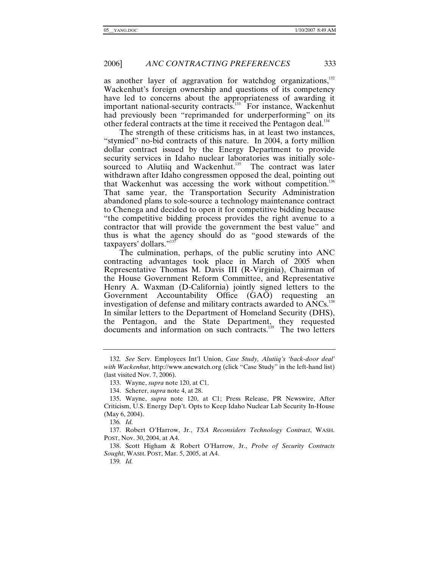as another layer of aggravation for watchdog organizations, $132$ Wackenhut's foreign ownership and questions of its competency have led to concerns about the appropriateness of awarding it important national-security contracts.<sup>133</sup> For instance, Wackenhut had previously been "reprimanded for underperforming" on its other federal contracts at the time it received the Pentagon deal.<sup>134</sup>

The strength of these criticisms has, in at least two instances, "stymied" no-bid contracts of this nature. In 2004, a forty million dollar contract issued by the Energy Department to provide security services in Idaho nuclear laboratories was initially solesourced to Alutiiq and Wackenhut.<sup>135</sup> The contract was later withdrawn after Idaho congressmen opposed the deal, pointing out that Wackenhut was accessing the work without competition.<sup>136</sup> That same year, the Transportation Security Administration abandoned plans to sole-source a technology maintenance contract to Chenega and decided to open it for competitive bidding because "the competitive bidding process provides the right avenue to a contractor that will provide the government the best value" and thus is what the agency should do as "good stewards of the taxpayers' dollars." $137$ 

The culmination, perhaps, of the public scrutiny into ANC contracting advantages took place in March of 2005 when Representative Thomas M. Davis III (R-Virginia), Chairman of the House Government Reform Committee, and Representative Henry A. Waxman (D-California) jointly signed letters to the Government Accountability Office (GAO) requesting an investigation of defense and military contracts awarded to  $\text{ANCs.}^{138}$ In similar letters to the Department of Homeland Security (DHS), the Pentagon, and the State Department, they requested  $\frac{1}{2}$  documents and information on such contracts.<sup>139</sup> The two letters

<sup>132</sup>*. See* Serv. Employees Int'l Union, *Case Study, Alutiiq's 'back-door deal' with Wackenhut*, http://www.ancwatch.org (click "Case Study" in the left-hand list) (last visited Nov. 7, 2006).

 <sup>133.</sup> Wayne, *supra* note 120, at C1.

 <sup>134.</sup> Scherer, *supra* note 4, at 28.

 <sup>135.</sup> Wayne, *supra* note 120, at C1; Press Release, PR Newswire, After Criticism, U.S. Energy Dep't. Opts to Keep Idaho Nuclear Lab Security In-House (May 6, 2004).

<sup>136</sup>*. Id.*

 <sup>137.</sup> Robert O'Harrow, Jr., *TSA Reconsiders Technology Contract*, WASH. POST, Nov. 30, 2004, at A4.

 <sup>138.</sup> Scott Higham & Robert O'Harrow, Jr., *Probe of Security Contracts Sought*, WASH. POST, Mar. 5, 2005, at A4.

<sup>139</sup>*. Id.*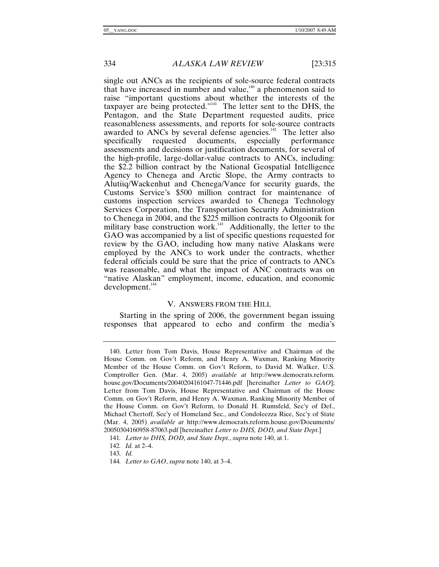single out ANCs as the recipients of sole-source federal contracts that have increased in number and value, $140$  a phenomenon said to raise "important questions about whether the interests of the taxpayer are being protected."<sup>141</sup> The letter sent to the DHS, the Pentagon, and the State Department requested audits, price reasonableness assessments, and reports for sole-source contracts awarded to ANCs by several defense agencies.<sup>142</sup> The letter also specifically requested documents, especially performance especially performance assessments and decisions or justification documents, for several of the high-profile, large-dollar-value contracts to ANCs, including: the \$2.2 billion contract by the National Geospatial Intelligence Agency to Chenega and Arctic Slope, the Army contracts to Alutiiq/Wackenhut and Chenega/Vance for security guards, the Customs Service's \$500 million contract for maintenance of customs inspection services awarded to Chenega Technology Services Corporation, the Transportation Security Administration to Chenega in 2004, and the \$225 million contracts to Olgoonik for military base construction work.<sup>143</sup> Additionally, the letter to the GAO was accompanied by a list of specific questions requested for review by the GAO, including how many native Alaskans were employed by the ANCs to work under the contracts, whether federal officials could be sure that the price of contracts to ANCs was reasonable, and what the impact of ANC contracts was on "native Alaskan" employment, income, education, and economic  $development.<sup>144</sup>$ 

# V. ANSWERS FROM THE HILL

Starting in the spring of 2006, the government began issuing responses that appeared to echo and confirm the media's

 <sup>140.</sup> Letter from Tom Davis, House Representative and Chairman of the House Comm. on Gov't Reform, and Henry A. Waxman, Ranking Minority Member of the House Comm. on Gov't Reform, to David M. Walker, U.S. Comptroller Gen. (Mar. 4, 2005) *available at* http://www.democrats.reform. house.gov/Documents/20040204161047-71446.pdf [hereinafter *Letter to GAO*]; Letter from Tom Davis, House Representative and Chairman of the House Comm. on Gov't Reform, and Henry A. Waxman, Ranking Minority Member of the House Comm. on Gov't Reform, to Donald H. Rumsfeld, Sec'y of Def., Michael Chertoff, Sec'y of Homeland Sec., and Condoleezza Rice, Sec'y of State (Mar. 4, 2005) *available at* http://www.democrats.reform.house.gov/Documents/ 20050304160958-87063.pdf [hereinafter *Letter to DHS, DOD, and State Dept*.]

<sup>141</sup>*. Letter to DHS, DOD, and State Dept.*, *supra* note 140, at 1.

<sup>142</sup>*. Id.* at 2–4.

<sup>143</sup>*. Id.*

<sup>144</sup>*. Letter to GAO*, *supra* note 140, at 3–4.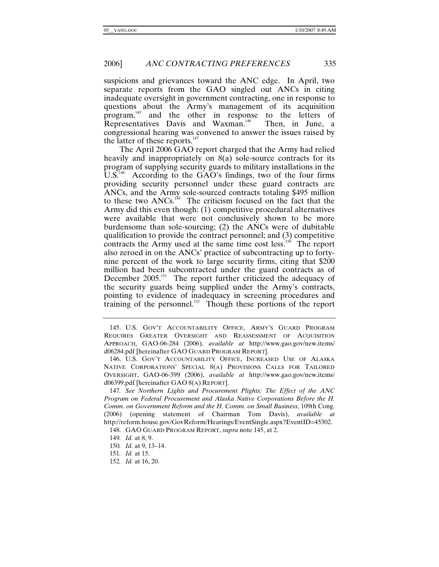suspicions and grievances toward the ANC edge. In April, two separate reports from the GAO singled out ANCs in citing inadequate oversight in government contracting, one in response to questions about the Army's management of its acquisition program,<sup>145</sup> and the other in response to the letters of Representatives Davis and Waxman.<sup>146</sup> Then, in June, a Representatives Davis and Waxman.<sup>146</sup> congressional hearing was convened to answer the issues raised by the latter of these reports.<sup>147</sup>

The April 2006 GAO report charged that the Army had relied heavily and inappropriately on 8(a) sole-source contracts for its program of supplying security guards to military installations in the U.S.<sup>148</sup> According to the GAO's findings, two of the four firms providing security personnel under these guard contracts are ANCs, and the Army sole-sourced contracts totaling \$495 million to these two ANCs.149 The criticism focused on the fact that the Army did this even though: (1) competitive procedural alternatives were available that were not conclusively shown to be more burdensome than sole-sourcing; (2) the ANCs were of dubitable qualification to provide the contract personnel; and (3) competitive contracts the Army used at the same time cost less.<sup>150</sup> The report also zeroed in on the ANCs' practice of subcontracting up to fortynine percent of the work to large security firms, citing that \$200 million had been subcontracted under the guard contracts as of December 2005.<sup>151</sup> The report further criticized the adequacy of the security guards being supplied under the Army's contracts, pointing to evidence of inadequacy in screening procedures and training of the personnel.152 Though these portions of the report

 <sup>145.</sup> U.S. GOV'T ACCOUNTABILITY OFFICE, ARMY'S GUARD PROGRAM REQUIRES GREATER OVERSIGHT AND REASSESSMENT OF ACQUISITION APPROACH, GAO-06-284 (2006), *available at* http://www.gao.gov/new.items/ d06284.pdf [hereinafter GAO GUARD PROGRAM REPORT].

 <sup>146.</sup> U.S. GOV'T ACCOUNTABILITY OFFICE, INCREASED USE OF ALASKA NATIVE CORPORATIONS' SPECIAL 8(A) PROVISIONS CALLS FOR TAILORED OVERSIGHT, GAO-06-399 (2006), *available at* http://www.gao.gov/new.items/ d06399.pdf [hereinafter GAO 8(A) REPORT].

<sup>147</sup>*. See Northern Lights and Procurement Plights: The Effect of the ANC Program on Federal Procurement and Alaska Native Corporations Before the H. Comm. on Government Reform and the H. Comm. on Small Business*, 109th Cong. (2006) (opening statement of Chairman Tom Davis), *available at* http://reform.house.gov/GovReform/Hearings/EventSingle.aspx?EventID=45302.

 <sup>148.</sup> GAO GUARD PROGRAM REPORT, *supra* note 145, at 2.

<sup>149</sup>*. Id.* at 8, 9.

<sup>150</sup>*. Id.* at 9, 13–14.

<sup>151</sup>*. Id.* at 15.

<sup>152</sup>*. Id.* at 16, 20.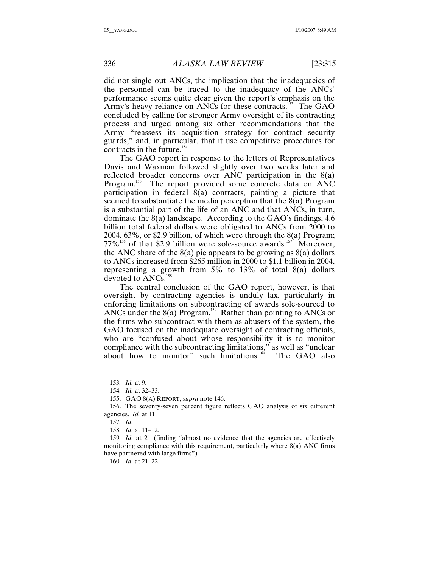did not single out ANCs, the implication that the inadequacies of the personnel can be traced to the inadequacy of the ANCs' performance seems quite clear given the report's emphasis on the Army's heavy reliance on ANCs for these contracts.<sup>153</sup> The GAO concluded by calling for stronger Army oversight of its contracting process and urged among six other recommendations that the Army "reassess its acquisition strategy for contract security guards," and, in particular, that it use competitive procedures for contracts in the future. $154$ 

The GAO report in response to the letters of Representatives Davis and Waxman followed slightly over two weeks later and reflected broader concerns over ANC participation in the 8(a) Program.<sup>155</sup> The report provided some concrete data on ANC participation in federal 8(a) contracts, painting a picture that seemed to substantiate the media perception that the 8(a) Program is a substantial part of the life of an ANC and that ANCs, in turn, dominate the 8(a) landscape. According to the GAO's findings, 4.6 billion total federal dollars were obligated to ANCs from 2000 to 2004, 63%, or \$2.9 billion, of which were through the 8(a) Program;  $77\%$ <sup>156</sup> of that \$2.9 billion were sole-source awards.<sup>157</sup> Moreover, the ANC share of the  $8(a)$  pie appears to be growing as  $8(a)$  dollars to ANCs increased from \$265 million in 2000 to \$1.1 billion in 2004, representing a growth from 5% to 13% of total 8(a) dollars devoted to ANCs.<sup>158</sup>

The central conclusion of the GAO report, however, is that oversight by contracting agencies is unduly lax, particularly in enforcing limitations on subcontracting of awards sole-sourced to ANCs under the  $8(a)$  Program.<sup>159</sup> Rather than pointing to ANCs or the firms who subcontract with them as abusers of the system, the GAO focused on the inadequate oversight of contracting officials, who are "confused about whose responsibility it is to monitor compliance with the subcontracting limitations," as well as "unclear<br>about how to monitor" such limitations.<sup>160</sup> The GAO also about how to monitor" such limitations. $160$ 

157*. Id.*

158*. Id.* at 11–12.

159*. Id.* at 21 (finding "almost no evidence that the agencies are effectively monitoring compliance with this requirement, particularly where 8(a) ANC firms have partnered with large firms").

160*. Id.* at 21–22.

<sup>153</sup>*. Id.* at 9.

<sup>154</sup>*. Id.* at 32–33.

 <sup>155.</sup> GAO 8(A) REPORT, *supra* note 146.

 <sup>156.</sup> The seventy-seven percent figure reflects GAO analysis of six different agencies. *Id.* at 11.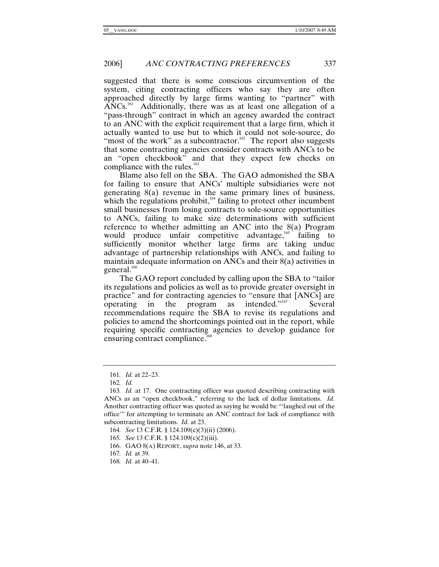suggested that there is some conscious circumvention of the system, citing contracting officers who say they are often approached directly by large firms wanting to "partner" with  $ANCs$ <sup>161</sup> Additionally, there was as at least one allegation of a "pass-through" contract in which an agency awarded the contract to an ANC with the explicit requirement that a large firm, which it actually wanted to use but to which it could not sole-source, do "most of the work" as a subcontractor.<sup>162</sup> The report also suggests that some contracting agencies consider contracts with ANCs to be an "open checkbook" and that they expect few checks on compliance with the rules.<sup>163</sup>

Blame also fell on the SBA. The GAO admonished the SBA for failing to ensure that ANCs' multiple subsidiaries were not generating 8(a) revenue in the same primary lines of business, which the regulations prohibit, $164$  failing to protect other incumbent small businesses from losing contracts to sole-source opportunities to ANCs, failing to make size determinations with sufficient reference to whether admitting an ANC into the 8(a) Program would produce unfair competitive advantage,<sup>165</sup> failing to sufficiently monitor whether large firms are taking undue advantage of partnership relationships with ANCs, and failing to maintain adequate information on ANCs and their 8(a) activities in general.<sup>166</sup>

The GAO report concluded by calling upon the SBA to "tailor its regulations and policies as well as to provide greater oversight in practice" and for contracting agencies to "ensure that [ANCs] are operating in the program as intended."<sup>167</sup> Several operating in the program as intended." $167$  Several recommendations require the SBA to revise its regulations and policies to amend the shortcomings pointed out in the report, while requiring specific contracting agencies to develop guidance for ensuring contract compliance.<sup>16</sup>

164*. See* 13 C.F.R. § 124.109(c)(3)(ii) (2006).

165*. See* 13 C.F.R. § 124.109(c)(2)(iii).

166. GAO 8(A) REPORT, *supra* note 146, at 33.

167*. Id.* at 39.

168*. Id.* at 40–41.

<sup>161</sup>*. Id.* at 22–23.

<sup>162</sup>*. Id.*

<sup>163</sup>*. Id.* at 17. One contracting officer was quoted describing contracting with ANCs as an "open checkbook," referring to the lack of dollar limitations. *Id*. Another contracting officer was quoted as saying he would be "'laughed out of the office'" for attempting to terminate an ANC contract for lack of compliance with subcontracting limitations. *Id.* at 23.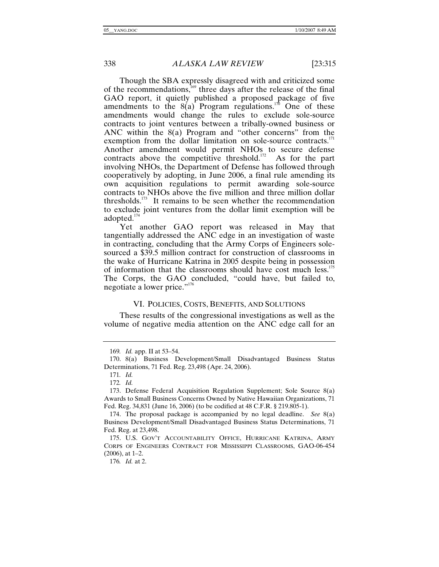Though the SBA expressly disagreed with and criticized some of the recommendations,<sup>169</sup> three days after the release of the final GAO report, it quietly published a proposed package of five amendments to the  $8(a)$  Program regulations.<sup>170</sup> One of these amendments would change the rules to exclude sole-source contracts to joint ventures between a tribally-owned business or ANC within the 8(a) Program and "other concerns" from the exemption from the dollar limitation on sole-source contracts.<sup>171</sup> Another amendment would permit NHOs to secure defense contracts above the competitive threshold.<sup>172</sup> As for the part involving NHOs, the Department of Defense has followed through cooperatively by adopting, in June 2006, a final rule amending its own acquisition regulations to permit awarding sole-source contracts to NHOs above the five million and three million dollar thresholds.<sup>173</sup> It remains to be seen whether the recommendation to exclude joint ventures from the dollar limit exemption will be adopted.174

Yet another GAO report was released in May that tangentially addressed the ANC edge in an investigation of waste in contracting, concluding that the Army Corps of Engineers solesourced a \$39.5 million contract for construction of classrooms in the wake of Hurricane Katrina in 2005 despite being in possession of information that the classrooms should have cost much less.<sup>175</sup> The Corps, the GAO concluded, "could have, but failed to, negotiate a lower price."176

# VI. POLICIES, COSTS, BENEFITS, AND SOLUTIONS

These results of the congressional investigations as well as the volume of negative media attention on the ANC edge call for an

176*. Id.* at 2.

<sup>169</sup>*. Id.* app. II at 53–54.

 <sup>170. 8(</sup>a) Business Development/Small Disadvantaged Business Status Determinations, 71 Fed. Reg. 23,498 (Apr. 24, 2006).

<sup>171</sup>*. Id.*

<sup>172</sup>*. Id.*

 <sup>173.</sup> Defense Federal Acquisition Regulation Supplement; Sole Source 8(a) Awards to Small Business Concerns Owned by Native Hawaiian Organizations, 71 Fed. Reg. 34,831 (June 16, 2006) (to be codified at 48 C.F.R. § 219.805-1).

 <sup>174.</sup> The proposal package is accompanied by no legal deadline. *See* 8(a) Business Development/Small Disadvantaged Business Status Determinations, 71 Fed. Reg. at 23,498.

 <sup>175.</sup> U.S. GOV'T ACCOUNTABILITY OFFICE, HURRICANE KATRINA, ARMY CORPS OF ENGINEERS CONTRACT FOR MISSISSIPPI CLASSROOMS, GAO-06-454 (2006), at 1–2.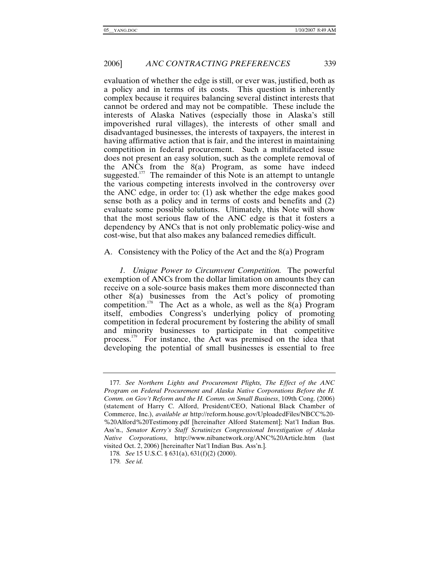evaluation of whether the edge is still, or ever was, justified, both as a policy and in terms of its costs. This question is inherently complex because it requires balancing several distinct interests that cannot be ordered and may not be compatible. These include the interests of Alaska Natives (especially those in Alaska's still impoverished rural villages), the interests of other small and disadvantaged businesses, the interests of taxpayers, the interest in having affirmative action that is fair, and the interest in maintaining competition in federal procurement. Such a multifaceted issue does not present an easy solution, such as the complete removal of the ANCs from the 8(a) Program, as some have indeed suggested.<sup>177</sup> The remainder of this Note is an attempt to untangle the various competing interests involved in the controversy over the ANC edge, in order to: (1) ask whether the edge makes good sense both as a policy and in terms of costs and benefits and (2) evaluate some possible solutions. Ultimately, this Note will show that the most serious flaw of the ANC edge is that it fosters a dependency by ANCs that is not only problematic policy-wise and cost-wise, but that also makes any balanced remedies difficult.

A. Consistency with the Policy of the Act and the 8(a) Program

*1. Unique Power to Circumvent Competition.* The powerful exemption of ANCs from the dollar limitation on amounts they can receive on a sole-source basis makes them more disconnected than other 8(a) businesses from the Act's policy of promoting competition.<sup>178</sup> The Act as a whole, as well as the  $8(a)$  Program itself, embodies Congress's underlying policy of promoting competition in federal procurement by fostering the ability of small and minority businesses to participate in that competitive process.179 For instance, the Act was premised on the idea that developing the potential of small businesses is essential to free

<sup>177</sup>*. See Northern Lights and Procurement Plights, The Effect of the ANC Program on Federal Procurement and Alaska Native Corporations Before the H. Comm. on Gov't Reform and the H. Comm. on Small Business*, 109th Cong. (2006) (statement of Harry C. Alford, President/CEO, National Black Chamber of Commerce, Inc.), *available at* http://reform.house.gov/UploadedFiles/NBCC%20- %20Alford%20Testimony.pdf [hereinafter Alford Statement]; Nat'l Indian Bus. Ass'n., *Senator Kerry's Staff Scrutinizes Congressional Investigation of Alaska Native Corporations*, http://www.nibanetwork.org/ANC%20Article.htm (last visited Oct. 2, 2006) [hereinafter Nat'l Indian Bus. Ass'n.].

<sup>178</sup>*. See* 15 U.S.C. § 631(a), 631(f)(2) (2000).

<sup>179</sup>*. See id.*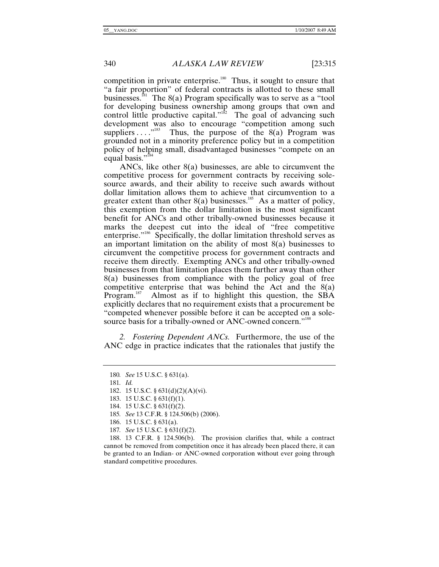competition in private enterprise.<sup>180</sup> Thus, it sought to ensure that "a fair proportion" of federal contracts is allotted to these small businesses.<sup>181</sup> The 8(a) Program specifically was to serve as a "tool for developing business ownership among groups that own and control little productive capital."<sup>182</sup> The goal of advancing such development was also to encourage "competition among such suppliers  $\dots$ <sup>183</sup> Thus, the purpose of the 8(a) Program was grounded not in a minority preference policy but in a competition policy of helping small, disadvantaged businesses "compete on an equal basis."<sup>184</sup>

ANCs, like other 8(a) businesses, are able to circumvent the competitive process for government contracts by receiving solesource awards, and their ability to receive such awards without dollar limitation allows them to achieve that circumvention to a greater extent than other  $8(a)$  businesses.<sup>185</sup> As a matter of policy, this exemption from the dollar limitation is the most significant benefit for ANCs and other tribally-owned businesses because it marks the deepest cut into the ideal of "free competitive enterprise."186 Specifically, the dollar limitation threshold serves as an important limitation on the ability of most 8(a) businesses to circumvent the competitive process for government contracts and receive them directly. Exempting ANCs and other tribally-owned businesses from that limitation places them further away than other 8(a) businesses from compliance with the policy goal of free competitive enterprise that was behind the Act and the 8(a) Program.<sup>187</sup> Almost as if to highlight this question, the SBA explicitly declares that no requirement exists that a procurement be "competed whenever possible before it can be accepted on a solesource basis for a tribally-owned or ANC-owned concern."<sup>188</sup>

*2. Fostering Dependent ANCs.* Furthermore, the use of the ANC edge in practice indicates that the rationales that justify the

- 184. 15 U.S.C. § 631(f)(2).
- 185*. See* 13 C.F.R. § 124.506(b) (2006).
- 186. 15 U.S.C. § 631(a).
- 187*. See* 15 U.S.C. § 631(f)(2).

 188. 13 C.F.R. § 124.506(b). The provision clarifies that, while a contract cannot be removed from competition once it has already been placed there, it can be granted to an Indian- or ANC-owned corporation without ever going through standard competitive procedures.

<sup>180</sup>*. See* 15 U.S.C. § 631(a).

<sup>181</sup>*. Id.*

 <sup>182. 15</sup> U.S.C. § 631(d)(2)(A)(vi).

 <sup>183. 15</sup> U.S.C. § 631(f)(1).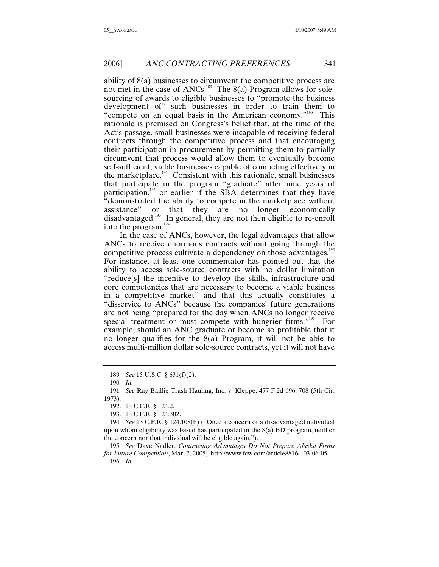ability of 8(a) businesses to circumvent the competitive process are not met in the case of ANCs.<sup>189</sup> The  $8(a)$  Program allows for solesourcing of awards to eligible businesses to "promote the business development of" such businesses in order to train them to "compete on an equal basis in the American economy."<sup>190</sup> This rationale is premised on Congress's belief that, at the time of the Act's passage, small businesses were incapable of receiving federal contracts through the competitive process and that encouraging their participation in procurement by permitting them to partially circumvent that process would allow them to eventually become self-sufficient, viable businesses capable of competing effectively in the marketplace.191 Consistent with this rationale, small businesses that participate in the program "graduate" after nine years of participation,<sup>192</sup> or earlier if the SBA determines that they have "demonstrated the ability to compete in the marketplace without assistance" or that they are no longer economically disadvantaged.<sup>193</sup> In general, they are not then eligible to re-enroll into the program.<sup>194</sup>

In the case of ANCs, however, the legal advantages that allow ANCs to receive enormous contracts without going through the competitive process cultivate a dependency on those advantages.<sup>195</sup> For instance, at least one commentator has pointed out that the ability to access sole-source contracts with no dollar limitation "reduce[s] the incentive to develop the skills, infrastructure and core competencies that are necessary to become a viable business in a competitive market" and that this actually constitutes a "disservice to ANCs" because the companies' future generations are not being "prepared for the day when ANCs no longer receive special treatment or must compete with hungrier firms."<sup>196</sup> For example, should an ANC graduate or become so profitable that it no longer qualifies for the 8(a) Program, it will not be able to access multi-million dollar sole-source contracts, yet it will not have

193. 13 C.F.R. § 124.302.

196*. Id.*

<sup>189</sup>*. See* 15 U.S.C. § 631(f)(2).

<sup>190</sup>*. Id.*

<sup>191</sup>*. See* Ray Baillie Trash Hauling, Inc. v. Kleppe, 477 F.2d 696, 708 (5th Cir. 1973).

 <sup>192. 13</sup> C.F.R. § 124.2.

<sup>194</sup>*. See* 13 C.F.R. § 124.108(b) ("Once a concern or a disadvantaged individual upon whom eligibility was based has participated in the  $8(a)$  BD program, neither the concern nor that individual will be eligible again.").

<sup>195</sup>*. See* Dave Nadler, *Contracting Advantages Do Not Prepare Alaska Firms for Future Competition*, Mar. 7, 2005, http://www.fcw.com/article88164-03-06-05.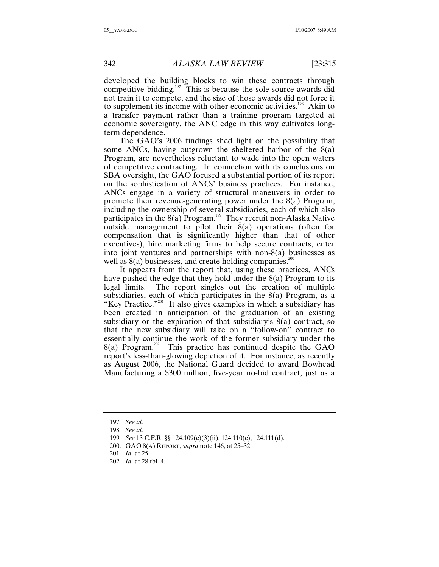developed the building blocks to win these contracts through competitive bidding.<sup>197</sup> This is because the sole-source awards did not train it to compete, and the size of those awards did not force it to supplement its income with other economic activities.<sup>198</sup> Akin to a transfer payment rather than a training program targeted at economic sovereignty, the ANC edge in this way cultivates longterm dependence.

The GAO's 2006 findings shed light on the possibility that some ANCs, having outgrown the sheltered harbor of the 8(a) Program, are nevertheless reluctant to wade into the open waters of competitive contracting. In connection with its conclusions on SBA oversight, the GAO focused a substantial portion of its report on the sophistication of ANCs' business practices. For instance, ANCs engage in a variety of structural maneuvers in order to promote their revenue-generating power under the 8(a) Program, including the ownership of several subsidiaries, each of which also participates in the  $8(a)$  Program.<sup>199</sup> They recruit non-Alaska Native outside management to pilot their 8(a) operations (often for compensation that is significantly higher than that of other executives), hire marketing firms to help secure contracts, enter into joint ventures and partnerships with non-8(a) businesses as well as  $8(a)$  businesses, and create holding companies.<sup>200</sup>

It appears from the report that, using these practices, ANCs have pushed the edge that they hold under the 8(a) Program to its legal limits. The report singles out the creation of multiple subsidiaries, each of which participates in the 8(a) Program, as a "Key Practice."201 It also gives examples in which a subsidiary has been created in anticipation of the graduation of an existing subsidiary or the expiration of that subsidiary's 8(a) contract, so that the new subsidiary will take on a "follow-on" contract to essentially continue the work of the former subsidiary under the  $8(a)$  Program.<sup>202</sup> This practice has continued despite the GAO report's less-than-glowing depiction of it. For instance, as recently as August 2006, the National Guard decided to award Bowhead Manufacturing a \$300 million, five-year no-bid contract, just as a

<sup>197</sup>*. See id.*

<sup>198</sup>*. See id.*

<sup>199</sup>*. See* 13 C.F.R. §§ 124.109(c)(3)(ii), 124.110(c), 124.111(d).

 <sup>200.</sup> GAO 8(A) REPORT, *supra* note 146, at 25–32.

<sup>201</sup>*. Id.* at 25.

<sup>202</sup>*. Id.* at 28 tbl. 4.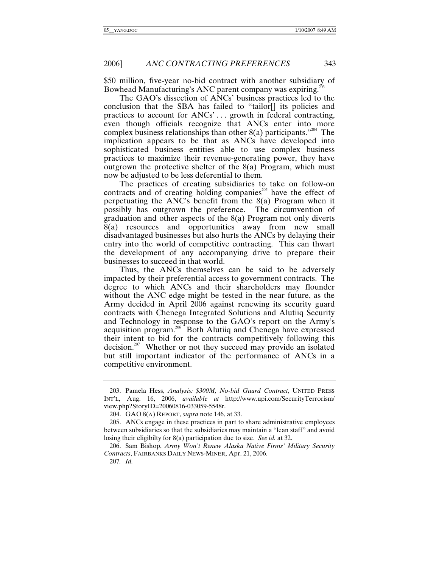\$50 million, five-year no-bid contract with another subsidiary of Bowhead Manufacturing's ANC parent company was expiring.<sup>203</sup>

The GAO's dissection of ANCs' business practices led to the conclusion that the SBA has failed to "tailor[] its policies and practices to account for ANCs'... growth in federal contracting, even though officials recognize that ANCs enter into more complex business relationships than other  $8(a)$  participants.<sup> $204$ </sup> The implication appears to be that as ANCs have developed into sophisticated business entities able to use complex business practices to maximize their revenue-generating power, they have outgrown the protective shelter of the 8(a) Program, which must now be adjusted to be less deferential to them.

The practices of creating subsidiaries to take on follow-on contracts and of creating holding companies<sup>205</sup> have the effect of perpetuating the ANC's benefit from the 8(a) Program when it possibly has outgrown the preference. The circumvention of graduation and other aspects of the 8(a) Program not only diverts 8(a) resources and opportunities away from new small disadvantaged businesses but also hurts the ANCs by delaying their entry into the world of competitive contracting. This can thwart the development of any accompanying drive to prepare their businesses to succeed in that world.

Thus, the ANCs themselves can be said to be adversely impacted by their preferential access to government contracts. The degree to which ANCs and their shareholders may flounder without the ANC edge might be tested in the near future, as the Army decided in April 2006 against renewing its security guard contracts with Chenega Integrated Solutions and Alutiiq Security and Technology in response to the GAO's report on the Army's acquisition program.<sup>206</sup> Both Alutiiq and Chenega have expressed their intent to bid for the contracts competitively following this decision.<sup>207</sup> Whether or not they succeed may provide an isolated but still important indicator of the performance of ANCs in a competitive environment.

 <sup>203.</sup> Pamela Hess, *Analysis: \$300M, No-bid Guard Contract*, UNITED PRESS INT'L, Aug. 16, 2006, *available at* http://www.upi.com/SecurityTerrorism/ view.php?StoryID=20060816-033059-5548r.

 <sup>204.</sup> GAO 8(A) REPORT, *supra* note 146, at 33.

 <sup>205.</sup> ANCs engage in these practices in part to share administrative employees between subsidiaries so that the subsidiaries may maintain a "lean staff" and avoid losing their eligibilty for 8(a) participation due to size. *See id.* at 32.

 <sup>206.</sup> Sam Bishop, *Army Won't Renew Alaska Native Firms' Military Security Contracts*, FAIRBANKS DAILY NEWS-MINER, Apr. 21, 2006.

<sup>207</sup>*. Id.*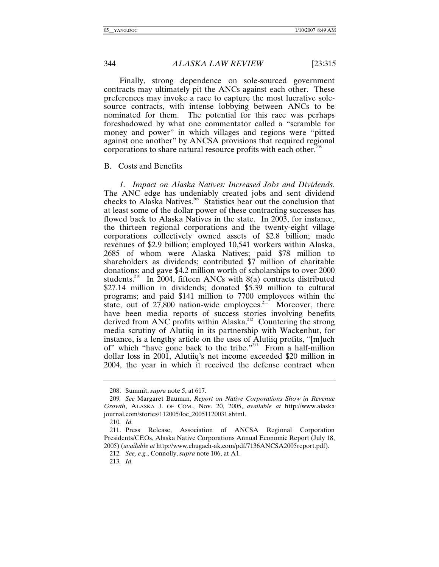Finally, strong dependence on sole-sourced government contracts may ultimately pit the ANCs against each other. These preferences may invoke a race to capture the most lucrative solesource contracts, with intense lobbying between ANCs to be nominated for them. The potential for this race was perhaps foreshadowed by what one commentator called a "scramble for money and power" in which villages and regions were "pitted against one another" by ANCSA provisions that required regional corporations to share natural resource profits with each other.<sup>208</sup>

# B. Costs and Benefits

*1. Impact on Alaska Natives: Increased Jobs and Dividends.* The ANC edge has undeniably created jobs and sent dividend checks to Alaska Natives.<sup>209</sup> Statistics bear out the conclusion that at least some of the dollar power of these contracting successes has flowed back to Alaska Natives in the state. In 2003, for instance, the thirteen regional corporations and the twenty-eight village corporations collectively owned assets of \$2.8 billion; made revenues of \$2.9 billion; employed 10,541 workers within Alaska, 2685 of whom were Alaska Natives; paid \$78 million to shareholders as dividends; contributed \$7 million of charitable donations; and gave \$4.2 million worth of scholarships to over 2000 students.<sup>210</sup> In 2004, fifteen ANCs with  $8(a)$  contracts distributed \$27.14 million in dividends; donated \$5.39 million to cultural programs; and paid \$141 million to 7700 employees within the state, out of  $27,800$  nation-wide employees.<sup>211</sup> Moreover, there have been media reports of success stories involving benefits derived from ANC profits within Alaska.<sup>212</sup> Countering the strong media scrutiny of Alutiiq in its partnership with Wackenhut, for instance, is a lengthy article on the uses of Alutiiq profits, "[m]uch of" which "have gone back to the tribe."<sup>213</sup> From a half-million dollar loss in 2001, Alutiiq's net income exceeded \$20 million in 2004, the year in which it received the defense contract when

 <sup>208.</sup> Summit, *supra* note 5, at 617.

<sup>209</sup>*. See* Margaret Bauman, *Report on Native Corporations Show in Revenue Growth*, ALASKA J. OF COM., Nov. 20, 2005, *available at* http://www.alaska journal.com/stories/112005/loc\_20051120031.shtml.

<sup>210</sup>*. Id.*

 <sup>211.</sup> Press Release, Association of ANCSA Regional Corporation Presidents/CEOs, Alaska Native Corporations Annual Economic Report (July 18, 2005) (*available at* http://www.chugach-ak.com/pdf/7136ANCSA2005report.pdf).

<sup>212</sup>*. See, e.g.*, Connolly, *supra* note 106, at A1.

<sup>213</sup>*. Id.*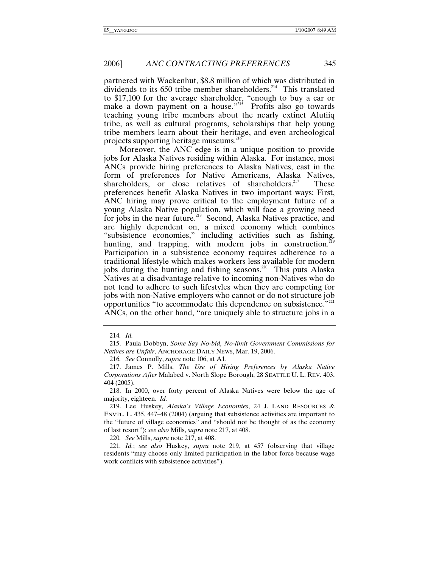partnered with Wackenhut, \$8.8 million of which was distributed in dividends to its  $650$  tribe member shareholders.<sup>214</sup> This translated to \$17,100 for the average shareholder, "enough to buy a car or make a down payment on a house."<sup>215</sup> Profits also go towards teaching young tribe members about the nearly extinct Alutiiq tribe, as well as cultural programs, scholarships that help young tribe members learn about their heritage, and even archeological projects supporting heritage museums.216

Moreover, the ANC edge is in a unique position to provide jobs for Alaska Natives residing within Alaska. For instance, most ANCs provide hiring preferences to Alaska Natives, cast in the form of preferences for Native Americans, Alaska Natives, shareholders, or close relatives of shareholders.<sup>217</sup> These preferences benefit Alaska Natives in two important ways: First, ANC hiring may prove critical to the employment future of a young Alaska Native population, which will face a growing need for jobs in the near future.<sup>218</sup> Second, Alaska Natives practice, and are highly dependent on, a mixed economy which combines "subsistence economies," including activities such as fishing, hunting, and trapping, with modern jobs in construction.<sup>219</sup> Participation in a subsistence economy requires adherence to a traditional lifestyle which makes workers less available for modern jobs during the hunting and fishing seasons.<sup>220</sup> This puts Alaska Natives at a disadvantage relative to incoming non-Natives who do not tend to adhere to such lifestyles when they are competing for jobs with non-Native employers who cannot or do not structure job opportunities "to accommodate this dependence on subsistence." $221$ ANCs, on the other hand, "are uniquely able to structure jobs in a

220*. See* Mills, *supra* note 217, at 408.

<sup>214</sup>*. Id.*

 <sup>215.</sup> Paula Dobbyn, *Some Say No-bid, No-limit Government Commissions for Natives are Unfair*, ANCHORAGE DAILY NEWS, Mar. 19, 2006.

<sup>216</sup>*. See* Connolly, *supra* note 106, at A1.

 <sup>217.</sup> James P. Mills, *The Use of Hiring Preferences by Alaska Native Corporations After* Malabed v. North Slope Borough, 28 SEATTLE U. L. REV. 403, 404 (2005).

 <sup>218.</sup> In 2000, over forty percent of Alaska Natives were below the age of majority, eighteen. *Id.*

 <sup>219.</sup> Lee Huskey, *Alaska's Village Economies*, 24 J. LAND RESOURCES & ENVTL. L. 435, 447–48 (2004) (arguing that subsistence activities are important to the "future of village economies" and "should not be thought of as the economy of last resort"); *see also* Mills, *supra* note 217, at 408.

<sup>221</sup>*. Id.*; *see also* Huskey, *supra* note 219, at 457 (observing that village residents "may choose only limited participation in the labor force because wage work conflicts with subsistence activities").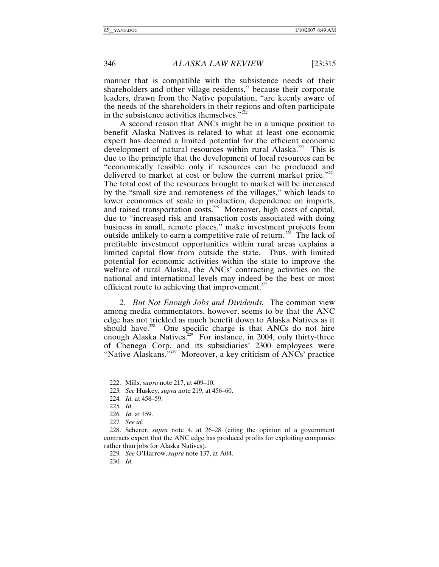manner that is compatible with the subsistence needs of their shareholders and other village residents," because their corporate leaders, drawn from the Native population, "are keenly aware of the needs of the shareholders in their regions and often participate in the subsistence activities themselves. $v^{222}$ 

A second reason that ANCs might be in a unique position to benefit Alaska Natives is related to what at least one economic expert has deemed a limited potential for the efficient economic development of natural resources within rural Alaska.<sup>223</sup> This is due to the principle that the development of local resources can be "economically feasible only if resources can be produced and delivered to market at cost or below the current market price."<sup>224</sup> The total cost of the resources brought to market will be increased by the "small size and remoteness of the villages," which leads to lower economies of scale in production, dependence on imports, and raised transportation costs.<sup>225</sup> Moreover, high costs of capital, due to "increased risk and transaction costs associated with doing business in small, remote places," make investment projects from outside unlikely to earn a competitive rate of return.<sup>226</sup> The lack of profitable investment opportunities within rural areas explains a limited capital flow from outside the state. Thus, with limited potential for economic activities within the state to improve the welfare of rural Alaska, the ANCs' contracting activities on the national and international levels may indeed be the best or most efficient route to achieving that improvement. $227$ 

*2. But Not Enough Jobs and Dividends.* The common view among media commentators, however, seems to be that the ANC edge has not trickled as much benefit down to Alaska Natives as it should have.<sup>228</sup> One specific charge is that ANCs do not hire enough Alaska Natives.<sup>229</sup> For instance, in 2004, only thirty-three of Chenega Corp. and its subsidiaries' 2300 employees were "Native Alaskans."<sup>230</sup> Moreover, a key criticism of ANCs' practice

 <sup>222.</sup> Mills, *supra* note 217, at 409–10.

<sup>223</sup>*. See* Huskey, *supra* note 219, at 456–60.

<sup>224</sup>*. Id.* at 458–59.

<sup>225</sup>*. Id.*

<sup>226</sup>*. Id.* at 459.

<sup>227</sup>*. See id.*

 <sup>228.</sup> Scherer, *supra* note 4, at 26–28 (citing the opinion of a government contracts expert that the ANC edge has produced profits for exploiting companies rather than jobs for Alaska Natives).

<sup>229</sup>*. See* O'Harrow, *supra* note 137, at A04.

<sup>230</sup>*. Id.*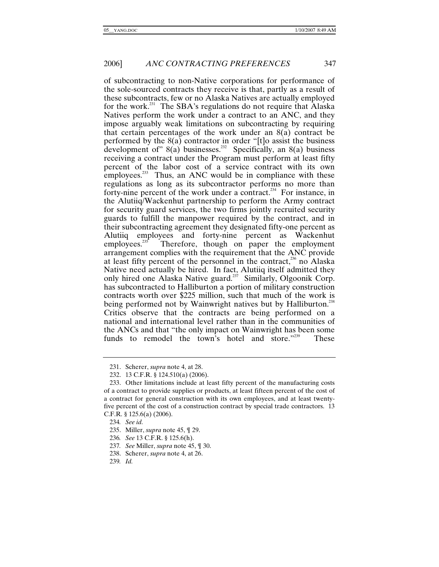of subcontracting to non-Native corporations for performance of the sole-sourced contracts they receive is that, partly as a result of these subcontracts, few or no Alaska Natives are actually employed for the work.<sup>231</sup> The SBA's regulations do not require that Alaska Natives perform the work under a contract to an ANC, and they impose arguably weak limitations on subcontracting by requiring that certain percentages of the work under an 8(a) contract be performed by the 8(a) contractor in order "[t]o assist the business development of"  $8(a)$  businesses.<sup>232</sup> Specifically, an  $8(a)$  business receiving a contract under the Program must perform at least fifty percent of the labor cost of a service contract with its own employees. $233$  Thus, an ANC would be in compliance with these regulations as long as its subcontractor performs no more than forty-nine percent of the work under a contract.<sup>234</sup> For instance, in the Alutiiq/Wackenhut partnership to perform the Army contract for security guard services, the two firms jointly recruited security guards to fulfill the manpower required by the contract, and in their subcontracting agreement they designated fifty-one percent as Alutiiq employees and forty-nine percent as Wackenhut employees.<sup>235</sup> Therefore, though on paper the employment Therefore, though on paper the employment arrangement complies with the requirement that the ANC provide at least fifty percent of the personnel in the contract,<sup>236</sup> no Alaska Native need actually be hired. In fact, Alutiiq itself admitted they only hired one Alaska Native guard.<sup>237</sup> Similarly, Olgoonik Corp. has subcontracted to Halliburton a portion of military construction contracts worth over \$225 million, such that much of the work is being performed not by Wainwright natives but by Halliburton.<sup>238</sup> Critics observe that the contracts are being performed on a national and international level rather than in the communities of the ANCs and that "the only impact on Wainwright has been some funds to remodel the town's hotel and store."<sup>239</sup> These

 <sup>231.</sup> Scherer, *supra* note 4, at 28.

 <sup>232. 13</sup> C.F.R. § 124.510(a) (2006).

 <sup>233.</sup> Other limitations include at least fifty percent of the manufacturing costs of a contract to provide supplies or products, at least fifteen percent of the cost of a contract for general construction with its own employees, and at least twentyfive percent of the cost of a construction contract by special trade contractors. 13 C.F.R. § 125.6(a) (2006).

<sup>234</sup>*. See id.*

 <sup>235.</sup> Miller, *supra* note 45, ¶ 29.

<sup>236</sup>*. See* 13 C.F.R. § 125.6(h).

<sup>237</sup>*. See* Miller, *supra* note 45, ¶ 30.

 <sup>238.</sup> Scherer, *supra* note 4, at 26.

<sup>239</sup>*. Id.*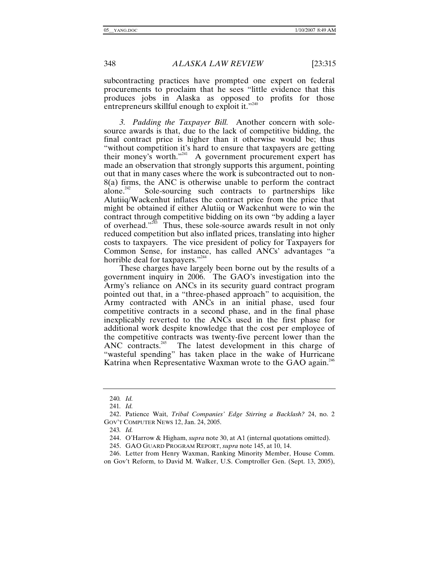subcontracting practices have prompted one expert on federal procurements to proclaim that he sees "little evidence that this produces jobs in Alaska as opposed to profits for those entrepreneurs skillful enough to exploit it."<sup>240</sup>

*3. Padding the Taxpayer Bill.* Another concern with solesource awards is that, due to the lack of competitive bidding, the final contract price is higher than it otherwise would be; thus "without competition it's hard to ensure that taxpayers are getting their money's worth."<sup>241</sup> A government procurement expert has made an observation that strongly supports this argument, pointing out that in many cases where the work is subcontracted out to non-8(a) firms, the ANC is otherwise unable to perform the contract alone.<sup>242</sup> Sole-sourcing such contracts to partnerships like Alutiiq/Wackenhut inflates the contract price from the price that might be obtained if either Alutiiq or Wackenhut were to win the contract through competitive bidding on its own "by adding a layer of overhead."243 Thus, these sole-source awards result in not only reduced competition but also inflated prices, translating into higher costs to taxpayers. The vice president of policy for Taxpayers for Common Sense, for instance, has called ANCs' advantages "a horrible deal for taxpayers."<sup>244</sup>

These charges have largely been borne out by the results of a government inquiry in 2006. The GAO's investigation into the Army's reliance on ANCs in its security guard contract program pointed out that, in a "three-phased approach" to acquisition, the Army contracted with ANCs in an initial phase, used four competitive contracts in a second phase, and in the final phase inexplicably reverted to the ANCs used in the first phase for additional work despite knowledge that the cost per employee of the competitive contracts was twenty-five percent lower than the ANC contracts.<sup>245</sup> The latest development in this charge of The latest development in this charge of "wasteful spending" has taken place in the wake of Hurricane Katrina when Representative Waxman wrote to the GAO again.<sup>246</sup>

<sup>240</sup>*. Id.*

<sup>241</sup>*. Id.*

 <sup>242.</sup> Patience Wait, *Tribal Companies' Edge Stirring a Backlash?* 24, no. 2 GOV'T COMPUTER NEWS 12, Jan. 24, 2005.

<sup>243</sup>*. Id.*

 <sup>244.</sup> O'Harrow & Higham, *supra* note 30, at A1 (internal quotations omitted).

 <sup>245.</sup> GAO GUARD PROGRAM REPORT, *supra* note 145, at 10, 14.

 <sup>246.</sup> Letter from Henry Waxman, Ranking Minority Member, House Comm. on Gov't Reform, to David M. Walker, U.S. Comptroller Gen. (Sept. 13, 2005),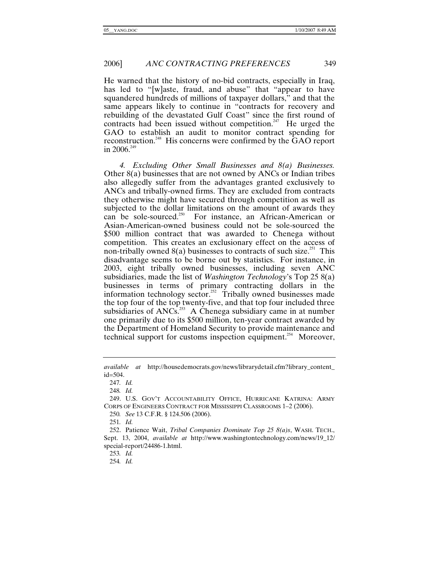He warned that the history of no-bid contracts, especially in Iraq, has led to "[w]aste, fraud, and abuse" that "appear to have squandered hundreds of millions of taxpayer dollars," and that the same appears likely to continue in "contracts for recovery and rebuilding of the devastated Gulf Coast" since the first round of contracts had been issued without competition.<sup>247</sup> He urged the GAO to establish an audit to monitor contract spending for reconstruction.248 His concerns were confirmed by the GAO report in 2006. $^{249}$ 

*4. Excluding Other Small Businesses and 8(a) Businesses.* Other 8(a) businesses that are not owned by ANCs or Indian tribes also allegedly suffer from the advantages granted exclusively to ANCs and tribally-owned firms. They are excluded from contracts they otherwise might have secured through competition as well as subjected to the dollar limitations on the amount of awards they can be sole-sourced.<sup>250</sup> For instance, an African-American or Asian-American-owned business could not be sole-sourced the \$500 million contract that was awarded to Chenega without competition. This creates an exclusionary effect on the access of non-tribally owned  $8(a)$  businesses to contracts of such size.<sup>251</sup> This disadvantage seems to be borne out by statistics. For instance, in 2003, eight tribally owned businesses, including seven ANC subsidiaries, made the list of *Washington Technology*'s Top 25 8(a) businesses in terms of primary contracting dollars in the information technology sector.<sup>252</sup> Tribally owned businesses made the top four of the top twenty-five, and that top four included three subsidiaries of  $ANCs$ <sup>253</sup> A Chenega subsidiary came in at number one primarily due to its \$500 million, ten-year contract awarded by the Department of Homeland Security to provide maintenance and technical support for customs inspection equipment.<sup>254</sup> Moreover,

247*. Id.*

248*. Id.*

250*. See* 13 C.F.R. § 124.506 (2006).

251*. Id.*

253*. Id.*

254*. Id.*

*available at* http://housedemocrats.gov/news/librarydetail.cfm?library\_content\_  $id = 504.$ 

 <sup>249.</sup> U.S. GOV'T ACCOUNTABILITY OFFICE, HURRICANE KATRINA: ARMY CORPS OF ENGINEERS CONTRACT FOR MISSISSIPPI CLASSROOMS 1–2 (2006).

 <sup>252.</sup> Patience Wait, *Tribal Companies Dominate Top 25 8(a)s*, WASH. TECH., Sept. 13, 2004, *available at* http://www.washingtontechnology.com/news/19\_12/ special-report/24486-1.html.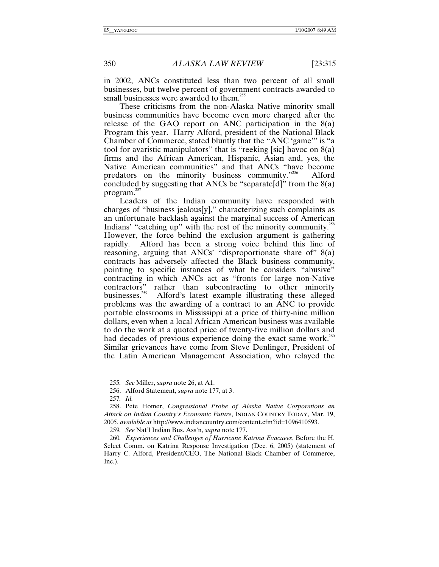in 2002, ANCs constituted less than two percent of all small businesses, but twelve percent of government contracts awarded to small businesses were awarded to them.<sup>255</sup>

These criticisms from the non-Alaska Native minority small business communities have become even more charged after the release of the GAO report on ANC participation in the 8(a) Program this year. Harry Alford, president of the National Black Chamber of Commerce, stated bluntly that the "ANC 'game'" is "a tool for avaristic manipulators" that is "reeking [sic] havoc on  $8(a)$ firms and the African American, Hispanic, Asian and, yes, the Native American communities" and that ANCs "have become predators on the minority business community."<sup>256</sup> Alford concluded by suggesting that ANCs be "separate[d]" from the  $8(a)$ program.<sup>257</sup>

Leaders of the Indian community have responded with charges of "business jealous[y]," characterizing such complaints as an unfortunate backlash against the marginal success of American Indians' "catching up" with the rest of the minority community.<sup>258</sup> However, the force behind the exclusion argument is gathering Alford has been a strong voice behind this line of reasoning, arguing that ANCs' "disproportionate share of" 8(a) contracts has adversely affected the Black business community, pointing to specific instances of what he considers "abusive" contracting in which ANCs act as "fronts for large non-Native contractors" rather than subcontracting to other minority businesses.<sup>259</sup> Alford's latest example illustrating these alleged problems was the awarding of a contract to an ANC to provide portable classrooms in Mississippi at a price of thirty-nine million dollars, even when a local African American business was available to do the work at a quoted price of twenty-five million dollars and had decades of previous experience doing the exact same work.<sup>260</sup> Similar grievances have come from Steve Denlinger, President of the Latin American Management Association, who relayed the

<sup>255</sup>*. See* Miller, *supra* note 26, at A1.

 <sup>256.</sup> Alford Statement, *supra* note 177, at 3.

<sup>257</sup>*. Id.*

 <sup>258.</sup> Pete Homer, *Congressional Probe of Alaska Native Corporations an Attack on Indian Country's Economic Future*, INDIAN COUNTRY TODAY, Mar. 19, 2005, *available at* http://www.indiancountry.com/content.cfm?id=1096410593.

<sup>259</sup>*. See* Nat'l Indian Bus. Ass'n, *supra* note 177.

<sup>260</sup>*. Experiences and Challenges of Hurricane Katrina Evacuees*, Before the H. Select Comm. on Katrina Response Investigation (Dec. 6, 2005) (statement of Harry C. Alford, President/CEO, The National Black Chamber of Commerce, Inc.).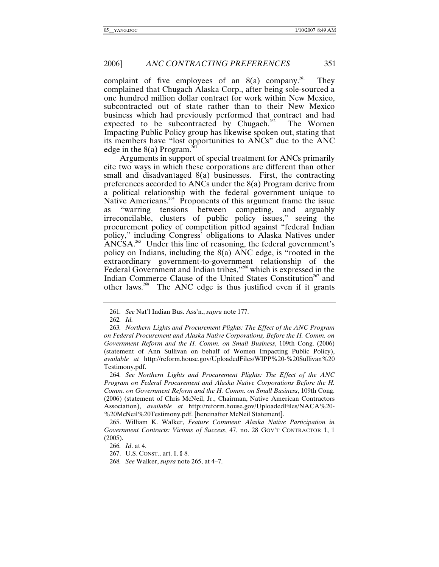complaint of five employees of an  $8(a)$  company.<sup>261</sup> They complained that Chugach Alaska Corp., after being sole-sourced a one hundred million dollar contract for work within New Mexico, subcontracted out of state rather than to their New Mexico business which had previously performed that contract and had expected to be subcontracted by Chugach.<sup>262</sup> The Women Impacting Public Policy group has likewise spoken out, stating that its members have "lost opportunities to ANCs" due to the ANC edge in the  $8(a)$  Program.

Arguments in support of special treatment for ANCs primarily cite two ways in which these corporations are different than other small and disadvantaged 8(a) businesses. First, the contracting preferences accorded to ANCs under the 8(a) Program derive from a political relationship with the federal government unique to Native Americans.<sup>264</sup> Proponents of this argument frame the issue as "warring tensions between competing, and arguably irreconcilable, clusters of public policy issues," seeing the procurement policy of competition pitted against "federal Indian policy," including Congress' obligations to Alaska Natives under  $ANCSA<sup>265</sup>$  Under this line of reasoning, the federal government's policy on Indians, including the 8(a) ANC edge, is "rooted in the extraordinary government-to-government relationship of the Federal Government and Indian tribes,"<sup>266</sup> which is expressed in the Indian Commerce Clause of the United States Constitution<sup>267</sup> and other laws.268 The ANC edge is thus justified even if it grants

262*. Id.*

264*. See Northern Lights and Procurement Plights: The Effect of the ANC Program on Federal Procurement and Alaska Native Corporations Before the H. Comm. on Government Reform and the H. Comm. on Small Business*, 109th Cong. (2006) (statement of Chris McNeil, Jr., Chairman, Native American Contractors Association), *available at* http://reform.house.gov/UploadedFiles/NACA%20- %20McNeil%20Testimony.pdf. [hereinafter McNeil Statement].

266*. Id*. at 4.

267. U.S. CONST., art. I, § 8.

268*. See* Walker, *supra* note 265, at 4–7.

<sup>261</sup>*. See* Nat'l Indian Bus. Ass'n., *supra* note 177.

<sup>263</sup>*. Northern Lights and Procurement Plights: The Effect of the ANC Program on Federal Procurement and Alaska Native Corporations, Before the H. Comm. on Government Reform and the H. Comm. on Small Business*, 109th Cong. (2006) (statement of Ann Sullivan on behalf of Women Impacting Public Policy), *available at* http://reform.house.gov/UploadedFiles/WIPP%20-%20Sullivan%20 Testimony.pdf.

 <sup>265.</sup> William K. Walker, *Feature Comment: Alaska Native Participation in Government Contracts: Victims of Success*, 47, no. 28 GOV'T CONTRACTOR 1, 1 (2005).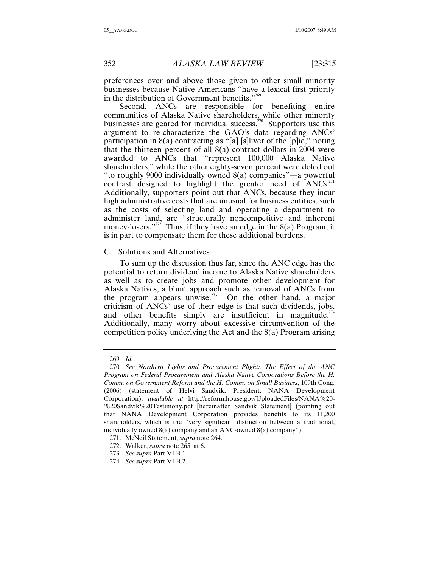preferences over and above those given to other small minority businesses because Native Americans "have a lexical first priority in the distribution of Government benefits."<sup>269</sup>

Second, ANCs are responsible for benefiting entire communities of Alaska Native shareholders, while other minority businesses are geared for individual success.<sup>270</sup> Supporters use this argument to re-characterize the GAO's data regarding ANCs' participation in  $8(a)$  contracting as "[a] [s]liver of the [p]ie," noting that the thirteen percent of all 8(a) contract dollars in 2004 were awarded to ANCs that "represent 100,000 Alaska Native shareholders," while the other eighty-seven percent were doled out "to roughly 9000 individually owned 8(a) companies"—a powerful contrast designed to highlight the greater need of  $ANCs$ <sup>271</sup> Additionally, supporters point out that ANCs, because they incur high administrative costs that are unusual for business entities, such as the costs of selecting land and operating a department to administer land, are "structurally noncompetitive and inherent money-losers."<sup>272</sup> Thus, if they have an edge in the  $8(a)$  Program, it is in part to compensate them for these additional burdens.

### C. Solutions and Alternatives

To sum up the discussion thus far, since the ANC edge has the potential to return dividend income to Alaska Native shareholders as well as to create jobs and promote other development for Alaska Natives, a blunt approach such as removal of ANCs from the program appears unwise.<sup>273</sup> On the other hand, a major criticism of ANCs' use of their edge is that such dividends, jobs, and other benefits simply are insufficient in magnitude.<sup> $274$ </sup> Additionally, many worry about excessive circumvention of the competition policy underlying the Act and the 8(a) Program arising

272. Walker, *supra* note 265, at 6.

<sup>269</sup>*. Id.*

<sup>270</sup>*. See Northern Lights and Procurement Plight:, The Effect of the ANC Program on Federal Procurement and Alaska Native Corporations Before the H. Comm. on Government Reform and the H. Comm. on Small Business*, 109th Cong. (2006) (statement of Helvi Sandvik, President, NANA Development Corporation), *available at* http://reform.house.gov/UploadedFiles/NANA%20- %20Sandvik%20Testimony.pdf [hereinafter Sandvik Statement] (pointing out that NANA Development Corporation provides benefits to its 11,200 shareholders, which is the "very significant distinction between a traditional, individually owned 8(a) company and an ANC-owned 8(a) company").

 <sup>271.</sup> McNeil Statement, *supra* note 264.

<sup>273</sup>*. See supra* Part VI.B.1.

<sup>274</sup>*. See supra* Part VI.B.2.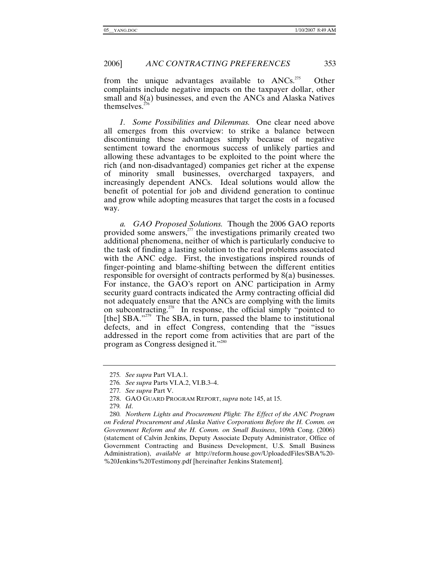from the unique advantages available to  $ANCs$ <sup>275</sup> Other complaints include negative impacts on the taxpayer dollar, other small and 8(a) businesses, and even the ANCs and Alaska Natives themselves. $276$ 

*1. Some Possibilities and Dilemmas.* One clear need above all emerges from this overview: to strike a balance between discontinuing these advantages simply because of negative sentiment toward the enormous success of unlikely parties and allowing these advantages to be exploited to the point where the rich (and non-disadvantaged) companies get richer at the expense of minority small businesses, overcharged taxpayers, and increasingly dependent ANCs. Ideal solutions would allow the benefit of potential for job and dividend generation to continue and grow while adopting measures that target the costs in a focused way.

*a. GAO Proposed Solutions.* Though the 2006 GAO reports provided some answers, $z<sup>277</sup>$  the investigations primarily created two additional phenomena, neither of which is particularly conducive to the task of finding a lasting solution to the real problems associated with the ANC edge. First, the investigations inspired rounds of finger-pointing and blame-shifting between the different entities responsible for oversight of contracts performed by 8(a) businesses. For instance, the GAO's report on ANC participation in Army security guard contracts indicated the Army contracting official did not adequately ensure that the ANCs are complying with the limits on subcontracting.278 In response, the official simply "pointed to [the]  $SBA."$ <sup>779</sup> The SBA, in turn, passed the blame to institutional defects, and in effect Congress, contending that the "issues addressed in the report come from activities that are part of the program as Congress designed it."<sup>280</sup>

<sup>275</sup>*. See supra* Part VI.A.1.

<sup>276</sup>*. See supra* Parts VI.A.2, VI.B.3–4.

<sup>277</sup>*. See supra* Part V.

 <sup>278.</sup> GAO GUARD PROGRAM REPORT, *supra* note 145, at 15.

<sup>279</sup>*. Id*.

<sup>280</sup>*. Northern Lights and Procurement Plight: The Effect of the ANC Program on Federal Procurement and Alaska Native Corporations Before the H. Comm. on Government Reform and the H. Comm. on Small Business*, 109th Cong. (2006) (statement of Calvin Jenkins, Deputy Associate Deputy Administrator, Office of Government Contracting and Business Development, U.S. Small Business Administration), *available at* http://reform.house.gov/UploadedFiles/SBA%20- %20Jenkins%20Testimony.pdf [hereinafter Jenkins Statement].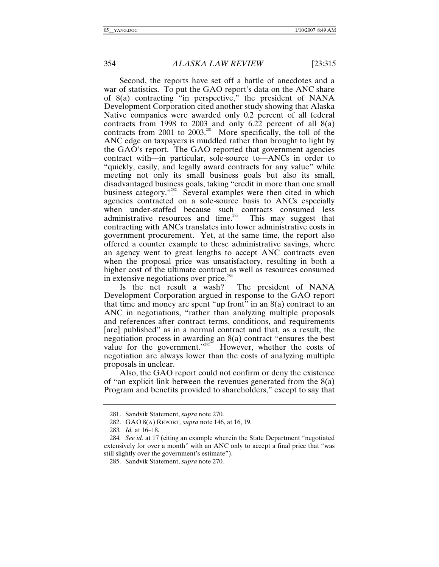Second, the reports have set off a battle of anecdotes and a war of statistics. To put the GAO report's data on the ANC share of 8(a) contracting "in perspective," the president of NANA Development Corporation cited another study showing that Alaska Native companies were awarded only 0.2 percent of all federal contracts from 1998 to 2003 and only 6.22 percent of all 8(a) contracts from 2001 to  $2003$ <sup>281</sup> More specifically, the toll of the ANC edge on taxpayers is muddled rather than brought to light by the GAO's report. The GAO reported that government agencies contract with—in particular, sole-source to—ANCs in order to "quickly, easily, and legally award contracts for any value" while meeting not only its small business goals but also its small, disadvantaged business goals, taking "credit in more than one small business category."<sup>282</sup> Several examples were then cited in which agencies contracted on a sole-source basis to ANCs especially when under-staffed because such contracts consumed less administrative resources and time.<sup>283</sup> This may suggest that contracting with ANCs translates into lower administrative costs in government procurement. Yet, at the same time, the report also offered a counter example to these administrative savings, where an agency went to great lengths to accept ANC contracts even when the proposal price was unsatisfactory, resulting in both a higher cost of the ultimate contract as well as resources consumed in extensive negotiations over price.<sup>284</sup><br>Is the net result a wash? The president of NANA

Is the net result a wash? Development Corporation argued in response to the GAO report that time and money are spent "up front" in an  $8(a)$  contract to an ANC in negotiations, "rather than analyzing multiple proposals and references after contract terms, conditions, and requirements [are] published" as in a normal contract and that, as a result, the negotiation process in awarding an 8(a) contract "ensures the best value for the government."<sup>385</sup> However, whether the costs of negotiation are always lower than the costs of analyzing multiple proposals in unclear.

Also, the GAO report could not confirm or deny the existence of "an explicit link between the revenues generated from the 8(a) Program and benefits provided to shareholders," except to say that

 <sup>281.</sup> Sandvik Statement, *supra* note 270.

 <sup>282.</sup> GAO 8(A) REPORT*, supra* note 146, at 16, 19.

<sup>283</sup>*. Id.* at 16–18.

<sup>284</sup>*. See id.* at 17 (citing an example wherein the State Department "negotiated extensively for over a month" with an ANC only to accept a final price that "was still slightly over the government's estimate").

 <sup>285.</sup> Sandvik Statement, *supra* note 270.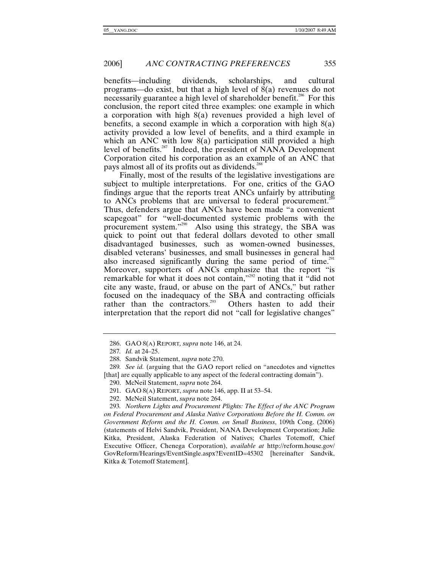benefits—including dividends, scholarships, and cultural programs—do exist, but that a high level of 8(a) revenues do not necessarily guarantee a high level of shareholder benefit.<sup>286</sup> For this conclusion, the report cited three examples: one example in which a corporation with high 8(a) revenues provided a high level of benefits, a second example in which a corporation with high 8(a) activity provided a low level of benefits, and a third example in which an ANC with low 8(a) participation still provided a high level of benefits.287 Indeed, the president of NANA Development Corporation cited his corporation as an example of an ANC that pays almost all of its profits out as dividends.<sup>288</sup>

Finally, most of the results of the legislative investigations are subject to multiple interpretations. For one, critics of the GAO findings argue that the reports treat ANCs unfairly by attributing to ANCs problems that are universal to federal procurement.<sup>289</sup> Thus, defenders argue that ANCs have been made "a convenient scapegoat" for "well-documented systemic problems with the procurement system."290 Also using this strategy, the SBA was quick to point out that federal dollars devoted to other small disadvantaged businesses, such as women-owned businesses, disabled veterans' businesses, and small businesses in general had also increased significantly during the same period of time.<sup>291</sup> Moreover, supporters of ANCs emphasize that the report "is remarkable for what it does not contain,"<sup>292</sup> noting that it "did not cite any waste, fraud, or abuse on the part of ANCs," but rather focused on the inadequacy of the SBA and contracting officials rather than the contractors.<sup>293</sup> Others hasten to add their interpretation that the report did not "call for legislative changes"

 <sup>286.</sup> GAO 8(A) REPORT*, supra* note 146, at 24.

<sup>287</sup>*. Id.* at 24–25.

 <sup>288.</sup> Sandvik Statement, *supra* note 270.

<sup>289</sup>*. See id.* (arguing that the GAO report relied on "anecdotes and vignettes [that] are equally applicable to any aspect of the federal contracting domain").

 <sup>290.</sup> McNeil Statement, *supra* note 264.

 <sup>291.</sup> GAO 8(A) REPORT, *supra* note 146, app. II at 53–54.

 <sup>292.</sup> McNeil Statement, *supra* note 264.

<sup>293</sup>*. Northern Lights and Procurement Plights: The Effect of the ANC Program on Federal Procurement and Alaska Native Corporations Before the H. Comm. on Government Reform and the H. Comm. on Small Business*, 109th Cong. (2006) (statements of Helvi Sandvik, President, NANA Development Corporation; Julie Kitka, President, Alaska Federation of Natives; Charles Totemoff, Chief Executive Officer, Chenega Corporation), *available at* http://reform.house.gov/ GovReform/Hearings/EventSingle.aspx?EventID=45302 [hereinafter Sandvik, Kitka & Totemoff Statement].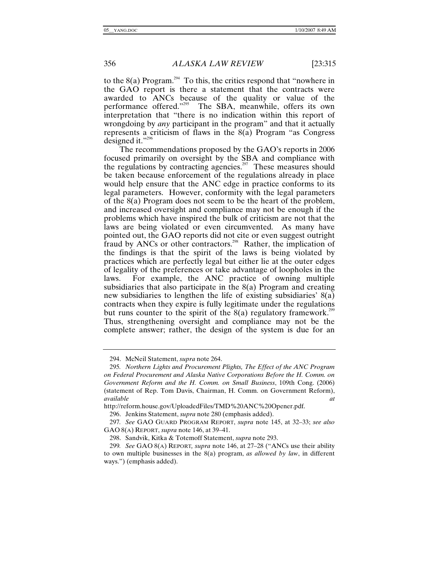to the  $8(a)$  Program.<sup>294</sup> To this, the critics respond that "nowhere in the GAO report is there a statement that the contracts were awarded to ANCs because of the quality or value of the performance offered."295 The SBA, meanwhile, offers its own interpretation that "there is no indication within this report of wrongdoing by *any* participant in the program" and that it actually represents a criticism of flaws in the 8(a) Program "as Congress designed it." $296$ 

The recommendations proposed by the GAO's reports in 2006 focused primarily on oversight by the SBA and compliance with the regulations by contracting agencies.<sup>297</sup> These measures should be taken because enforcement of the regulations already in place would help ensure that the ANC edge in practice conforms to its legal parameters. However, conformity with the legal parameters of the 8(a) Program does not seem to be the heart of the problem, and increased oversight and compliance may not be enough if the problems which have inspired the bulk of criticism are not that the laws are being violated or even circumvented. As many have pointed out, the GAO reports did not cite or even suggest outright fraud by ANCs or other contractors.<sup>298</sup> Rather, the implication of the findings is that the spirit of the laws is being violated by practices which are perfectly legal but either lie at the outer edges of legality of the preferences or take advantage of loopholes in the laws. For example, the ANC practice of owning multiple subsidiaries that also participate in the 8(a) Program and creating new subsidiaries to lengthen the life of existing subsidiaries' 8(a) contracts when they expire is fully legitimate under the regulations but runs counter to the spirit of the  $8(a)$  regulatory framework.<sup>299</sup> Thus, strengthening oversight and compliance may not be the complete answer; rather, the design of the system is due for an

http://reform.house.gov/UploadedFiles/TMD%20ANC%20Opener.pdf.

 <sup>294.</sup> McNeil Statement, *supra* note 264.

<sup>295</sup>*. Northern Lights and Procurement Plights, The Effect of the ANC Program on Federal Procurement and Alaska Native Corporations Before the H. Comm. on Government Reform and the H. Comm. on Small Business*, 109th Cong. (2006) (statement of Rep. Tom Davis, Chairman, H. Comm. on Government Reform), *available at*

 <sup>296.</sup> Jenkins Statement, *supra* note 280 (emphasis added).

<sup>297</sup>*. See* GAO GUARD PROGRAM REPORT, *supra* note 145, at 32–33; *see also*  GAO 8(A) REPORT, *supra* note 146, at 39–41.

 <sup>298.</sup> Sandvik, Kitka & Totemoff Statement, *supra* note 293.

<sup>299</sup>*. See* GAO 8(A) REPORT*, supra* note 146, at 27–28 ("ANCs use their ability to own multiple businesses in the 8(a) program, *as allowed by law*, in different ways.") (emphasis added).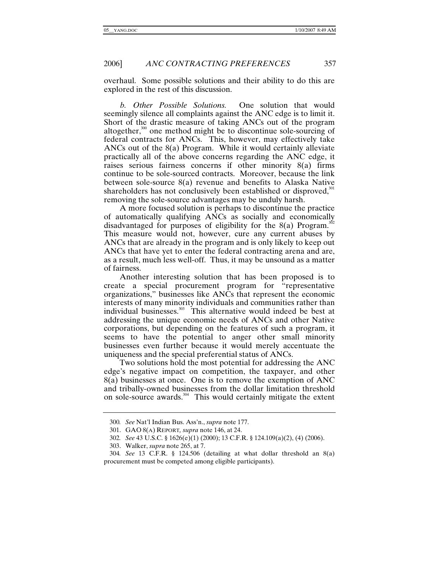overhaul. Some possible solutions and their ability to do this are explored in the rest of this discussion.

*b. Other Possible Solutions.* One solution that would seemingly silence all complaints against the ANC edge is to limit it. Short of the drastic measure of taking ANCs out of the program altogether,<sup>300</sup> one method might be to discontinue sole-sourcing of federal contracts for ANCs. This, however, may effectively take ANCs out of the 8(a) Program. While it would certainly alleviate practically all of the above concerns regarding the ANC edge, it raises serious fairness concerns if other minority 8(a) firms continue to be sole-sourced contracts. Moreover, because the link between sole-source 8(a) revenue and benefits to Alaska Native shareholders has not conclusively been established or disproved,<sup>301</sup> removing the sole-source advantages may be unduly harsh.

A more focused solution is perhaps to discontinue the practice of automatically qualifying ANCs as socially and economically disadvantaged for purposes of eligibility for the  $8(a)$  Program.<sup>302</sup> This measure would not, however, cure any current abuses by ANCs that are already in the program and is only likely to keep out ANCs that have yet to enter the federal contracting arena and are, as a result, much less well-off. Thus, it may be unsound as a matter of fairness.

Another interesting solution that has been proposed is to create a special procurement program for "representative organizations," businesses like ANCs that represent the economic interests of many minority individuals and communities rather than individual businesses.<sup>303</sup> This alternative would indeed be best at addressing the unique economic needs of ANCs and other Native corporations, but depending on the features of such a program, it seems to have the potential to anger other small minority businesses even further because it would merely accentuate the uniqueness and the special preferential status of ANCs.

Two solutions hold the most potential for addressing the ANC edge's negative impact on competition, the taxpayer, and other 8(a) businesses at once. One is to remove the exemption of ANC and tribally-owned businesses from the dollar limitation threshold on sole-source awards. $304$  This would certainly mitigate the extent

<sup>300</sup>*. See* Nat'l Indian Bus. Ass'n., *supra* note 177.

 <sup>301.</sup> GAO 8(A) REPORT*, supra* note 146, at 24.

<sup>302</sup>*. See* 43 U.S.C. § 1626(e)(1) (2000); 13 C.F.R. § 124.109(a)(2), (4) (2006).

 <sup>303.</sup> Walker, *supra* note 265, at 7.

<sup>304</sup>*. See* 13 C.F.R. § 124.506 (detailing at what dollar threshold an 8(a) procurement must be competed among eligible participants).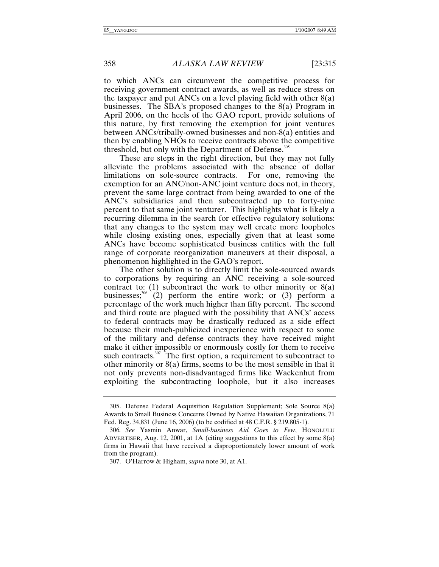to which ANCs can circumvent the competitive process for receiving government contract awards, as well as reduce stress on the taxpayer and put ANCs on a level playing field with other  $8(a)$ businesses. The SBA's proposed changes to the 8(a) Program in April 2006, on the heels of the GAO report, provide solutions of this nature, by first removing the exemption for joint ventures between ANCs/tribally-owned businesses and non-8(a) entities and then by enabling NHOs to receive contracts above the competitive threshold, but only with the Department of Defense. $305$ 

These are steps in the right direction, but they may not fully alleviate the problems associated with the absence of dollar limitations on sole-source contracts. For one, removing the exemption for an ANC/non-ANC joint venture does not, in theory, prevent the same large contract from being awarded to one of the ANC's subsidiaries and then subcontracted up to forty-nine percent to that same joint venturer. This highlights what is likely a recurring dilemma in the search for effective regulatory solutions: that any changes to the system may well create more loopholes while closing existing ones, especially given that at least some ANCs have become sophisticated business entities with the full range of corporate reorganization maneuvers at their disposal, a phenomenon highlighted in the GAO's report.

The other solution is to directly limit the sole-sourced awards to corporations by requiring an ANC receiving a sole-sourced contract to:  $(1)$  subcontract the work to other minority or  $8(a)$ businesses;<sup>306</sup> (2) perform the entire work; or (3) perform a percentage of the work much higher than fifty percent. The second and third route are plagued with the possibility that ANCs' access to federal contracts may be drastically reduced as a side effect because their much-publicized inexperience with respect to some of the military and defense contracts they have received might make it either impossible or enormously costly for them to receive such contracts. $307$  The first option, a requirement to subcontract to other minority or 8(a) firms, seems to be the most sensible in that it not only prevents non-disadvantaged firms like Wackenhut from exploiting the subcontracting loophole, but it also increases

 <sup>305.</sup> Defense Federal Acquisition Regulation Supplement; Sole Source 8(a) Awards to Small Business Concerns Owned by Native Hawaiian Organizations, 71 Fed. Reg. 34,831 (June 16, 2006) (to be codified at 48 C.F.R. § 219.805-1).

<sup>306</sup>*. See* Yasmin Anwar, *Small-business Aid Goes to Few*, HONOLULU ADVERTISER, Aug. 12, 2001, at 1A (citing suggestions to this effect by some 8(a) firms in Hawaii that have received a disproportionately lower amount of work from the program).

 <sup>307.</sup> O'Harrow & Higham, *supra* note 30, at A1.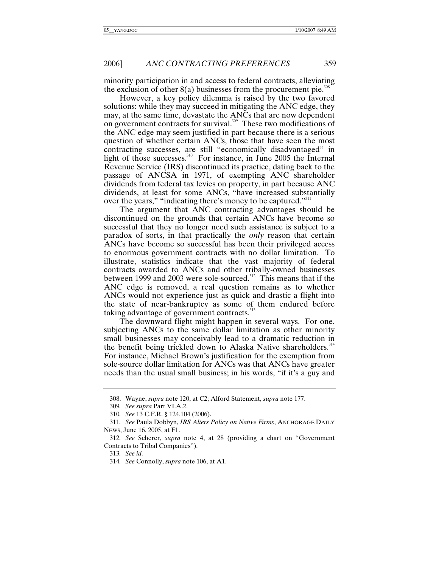minority participation in and access to federal contracts, alleviating the exclusion of other  $8(a)$  businesses from the procurement pie.<sup>308</sup>

However, a key policy dilemma is raised by the two favored solutions: while they may succeed in mitigating the ANC edge, they may, at the same time, devastate the ANCs that are now dependent on government contracts for survival.<sup>309</sup> These two modifications of the ANC edge may seem justified in part because there is a serious question of whether certain ANCs, those that have seen the most contracting successes, are still "economically disadvantaged" in light of those successes.<sup>310</sup> For instance, in June 2005 the Internal Revenue Service (IRS) discontinued its practice, dating back to the passage of ANCSA in 1971, of exempting ANC shareholder dividends from federal tax levies on property, in part because ANC dividends, at least for some ANCs, "have increased substantially over the years," "indicating there's money to be captured."<sup>311</sup>

The argument that ANC contracting advantages should be discontinued on the grounds that certain ANCs have become so successful that they no longer need such assistance is subject to a paradox of sorts, in that practically the *only* reason that certain ANCs have become so successful has been their privileged access to enormous government contracts with no dollar limitation. To illustrate, statistics indicate that the vast majority of federal contracts awarded to ANCs and other tribally-owned businesses between 1999 and 2003 were sole-sourced.<sup>312</sup> This means that if the ANC edge is removed, a real question remains as to whether ANCs would not experience just as quick and drastic a flight into the state of near-bankruptcy as some of them endured before taking advantage of government contracts.<sup>313</sup>

The downward flight might happen in several ways. For one, subjecting ANCs to the same dollar limitation as other minority small businesses may conceivably lead to a dramatic reduction in the benefit being trickled down to Alaska Native shareholders.<sup>314</sup> For instance, Michael Brown's justification for the exemption from sole-source dollar limitation for ANCs was that ANCs have greater needs than the usual small business; in his words, "if it's a guy and

 <sup>308.</sup> Wayne, *supra* note 120, at C2; Alford Statement, *supra* note 177.

<sup>309</sup>*. See supra* Part VI.A.2.

<sup>310</sup>*. See* 13 C.F.R. § 124.104 (2006).

<sup>311</sup>*. See* Paula Dobbyn, *IRS Alters Policy on Native Firms*, ANCHORAGE DAILY NEWS, June 16, 2005, at F1.

<sup>312</sup>*. See* Scherer, *supra* note 4, at 28 (providing a chart on "Government Contracts to Tribal Companies").

<sup>313</sup>*. See id.*

<sup>314</sup>*. See* Connolly, *supra* note 106, at A1.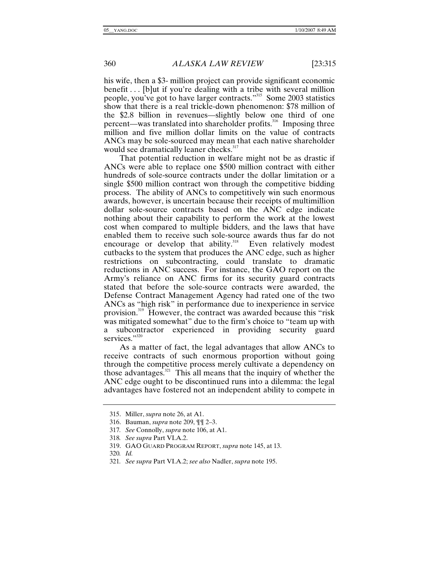his wife, then a \$3- million project can provide significant economic benefit . . . [b]ut if you're dealing with a tribe with several million people, you've got to have larger contracts."315 Some 2003 statistics show that there is a real trickle-down phenomenon: \$78 million of the \$2.8 billion in revenues—slightly below one third of one percent—was translated into shareholder profits.316 Imposing three million and five million dollar limits on the value of contracts ANCs may be sole-sourced may mean that each native shareholder would see dramatically leaner checks.<sup>317</sup>

That potential reduction in welfare might not be as drastic if ANCs were able to replace one \$500 million contract with either hundreds of sole-source contracts under the dollar limitation or a single \$500 million contract won through the competitive bidding process. The ability of ANCs to competitively win such enormous awards, however, is uncertain because their receipts of multimillion dollar sole-source contracts based on the ANC edge indicate nothing about their capability to perform the work at the lowest cost when compared to multiple bidders, and the laws that have enabled them to receive such sole-source awards thus far do not encourage or develop that ability.<sup>318</sup> Even relatively modest cutbacks to the system that produces the ANC edge, such as higher restrictions on subcontracting, could translate to dramatic reductions in ANC success. For instance, the GAO report on the Army's reliance on ANC firms for its security guard contracts stated that before the sole-source contracts were awarded, the Defense Contract Management Agency had rated one of the two ANCs as "high risk" in performance due to inexperience in service provision.319 However, the contract was awarded because this "risk was mitigated somewhat" due to the firm's choice to "team up with a subcontractor experienced in providing security guard services."<sup>320</sup>

As a matter of fact, the legal advantages that allow ANCs to receive contracts of such enormous proportion without going through the competitive process merely cultivate a dependency on those advantages.<sup>321</sup> This all means that the inquiry of whether the ANC edge ought to be discontinued runs into a dilemma: the legal advantages have fostered not an independent ability to compete in

 <sup>315.</sup> Miller, *supra* note 26, at A1.

 <sup>316.</sup> Bauman, *supra* note 209, ¶¶ 2–3.

<sup>317</sup>*. See* Connolly, *supra* note 106, at A1.

<sup>318</sup>*. See supra* Part VI.A.2.

 <sup>319.</sup> GAO GUARD PROGRAM REPORT, *supra* note 145, at 13.

<sup>320</sup>*. Id.*

<sup>321</sup>*. See supra* Part VI.A.2; *see also* Nadler, *supra* note 195.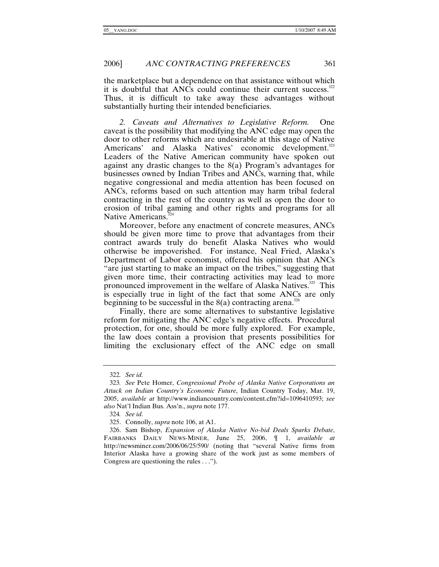the marketplace but a dependence on that assistance without which it is doubtful that ANCs could continue their current success. $322$ Thus, it is difficult to take away these advantages without substantially hurting their intended beneficiaries.

*2. Caveats and Alternatives to Legislative Reform.* One caveat is the possibility that modifying the ANC edge may open the door to other reforms which are undesirable at this stage of Native Americans' and Alaska Natives' economic development.<sup>323</sup> Leaders of the Native American community have spoken out against any drastic changes to the 8(a) Program's advantages for businesses owned by Indian Tribes and ANCs, warning that, while negative congressional and media attention has been focused on ANCs, reforms based on such attention may harm tribal federal contracting in the rest of the country as well as open the door to erosion of tribal gaming and other rights and programs for all Native Americans.<sup>3</sup>

Moreover, before any enactment of concrete measures, ANCs should be given more time to prove that advantages from their contract awards truly do benefit Alaska Natives who would otherwise be impoverished. For instance, Neal Fried, Alaska's Department of Labor economist, offered his opinion that ANCs "are just starting to make an impact on the tribes," suggesting that given more time, their contracting activities may lead to more pronounced improvement in the welfare of Alaska Natives.<sup>325</sup> This is especially true in light of the fact that some ANCs are only beginning to be successful in the  $8(a)$  contracting arena.<sup>326</sup>

Finally, there are some alternatives to substantive legislative reform for mitigating the ANC edge's negative effects. Procedural protection, for one, should be more fully explored. For example, the law does contain a provision that presents possibilities for limiting the exclusionary effect of the ANC edge on small

<sup>322</sup>*. See id.*

<sup>323</sup>*. See* Pete Homer, *Congressional Probe of Alaska Native Corporations an Attack on Indian Country's Economic Future*, Indian Country Today, Mar. 19, 2005, *available at* http://www.indiancountry.com/content.cfm?id=1096410593; *see also* Nat'l Indian Bus. Ass'n., *supra* note 177.

<sup>324</sup>*. See id.*

 <sup>325.</sup> Connolly, *supra* note 106, at A1.

 <sup>326.</sup> Sam Bishop, *Expansion of Alaska Native No-bid Deals Sparks Debate*, FAIRBANKS DAILY NEWS-MINER, June 25, 2006, ¶ 1, *available at* http://newsminer.com/2006/06/25/590/ (noting that "several Native firms from Interior Alaska have a growing share of the work just as some members of Congress are questioning the rules . . .").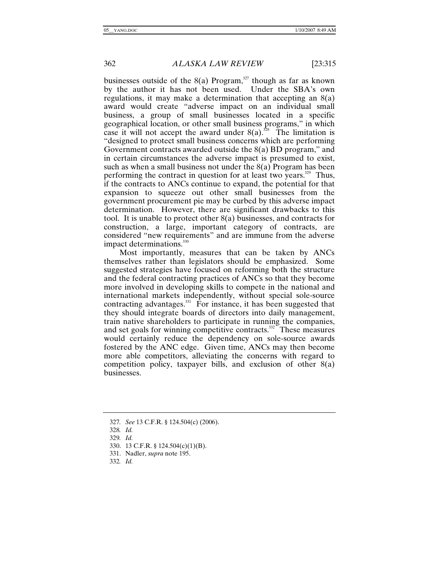businesses outside of the  $8(a)$  Program,<sup>327</sup> though as far as known by the author it has not been used. Under the SBA's own regulations, it may make a determination that accepting an 8(a) award would create "adverse impact on an individual small business, a group of small businesses located in a specific geographical location, or other small business programs," in which case it will not accept the award under  $8(a)$ .<sup>328</sup> The limitation is "designed to protect small business concerns which are performing Government contracts awarded outside the 8(a) BD program," and in certain circumstances the adverse impact is presumed to exist, such as when a small business not under the 8(a) Program has been performing the contract in question for at least two years.<sup>329</sup> Thus, if the contracts to ANCs continue to expand, the potential for that expansion to squeeze out other small businesses from the government procurement pie may be curbed by this adverse impact determination. However, there are significant drawbacks to this tool. It is unable to protect other 8(a) businesses, and contracts for construction, a large, important category of contracts, are considered "new requirements" and are immune from the adverse impact determinations.<sup>330</sup>

Most importantly, measures that can be taken by ANCs themselves rather than legislators should be emphasized. Some suggested strategies have focused on reforming both the structure and the federal contracting practices of ANCs so that they become more involved in developing skills to compete in the national and international markets independently, without special sole-source contracting advantages.<sup>331</sup> For instance, it has been suggested that they should integrate boards of directors into daily management, train native shareholders to participate in running the companies, and set goals for winning competitive contracts.<sup>332</sup> These measures would certainly reduce the dependency on sole-source awards fostered by the ANC edge. Given time, ANCs may then become more able competitors, alleviating the concerns with regard to competition policy, taxpayer bills, and exclusion of other 8(a) businesses.

<sup>327</sup>*. See* 13 C.F.R. § 124.504(c) (2006).

<sup>328</sup>*. Id.*

<sup>329</sup>*. Id.*

 <sup>330. 13</sup> C.F.R. § 124.504(c)(1)(B).

 <sup>331.</sup> Nadler, *supra* note 195.

<sup>332</sup>*. Id.*